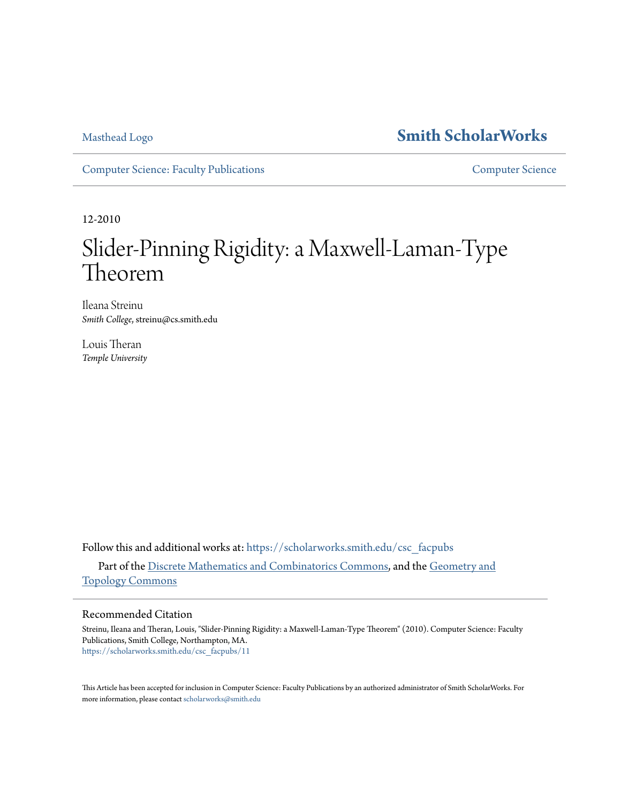# [Masthead Logo](http://www.smith.edu/?utm_source=scholarworks.smith.edu%2Fcsc_facpubs%2F11&utm_medium=PDF&utm_campaign=PDFCoverPages) **[Smith ScholarWorks](https://scholarworks.smith.edu?utm_source=scholarworks.smith.edu%2Fcsc_facpubs%2F11&utm_medium=PDF&utm_campaign=PDFCoverPages)**

[Computer Science: Faculty Publications](https://scholarworks.smith.edu/csc_facpubs?utm_source=scholarworks.smith.edu%2Fcsc_facpubs%2F11&utm_medium=PDF&utm_campaign=PDFCoverPages) [Computer Science](https://scholarworks.smith.edu/csc?utm_source=scholarworks.smith.edu%2Fcsc_facpubs%2F11&utm_medium=PDF&utm_campaign=PDFCoverPages)

12-2010

# Slider-Pinning Rigidity: a Maxwell-Laman-Type Theorem

Ileana Streinu *Smith College*, streinu@cs.smith.edu

Louis Theran *Temple University*

Follow this and additional works at: [https://scholarworks.smith.edu/csc\\_facpubs](https://scholarworks.smith.edu/csc_facpubs?utm_source=scholarworks.smith.edu%2Fcsc_facpubs%2F11&utm_medium=PDF&utm_campaign=PDFCoverPages) Part of the [Discrete Mathematics and Combinatorics Commons,](http://network.bepress.com/hgg/discipline/178?utm_source=scholarworks.smith.edu%2Fcsc_facpubs%2F11&utm_medium=PDF&utm_campaign=PDFCoverPages) and the [Geometry and](http://network.bepress.com/hgg/discipline/180?utm_source=scholarworks.smith.edu%2Fcsc_facpubs%2F11&utm_medium=PDF&utm_campaign=PDFCoverPages) [Topology Commons](http://network.bepress.com/hgg/discipline/180?utm_source=scholarworks.smith.edu%2Fcsc_facpubs%2F11&utm_medium=PDF&utm_campaign=PDFCoverPages)

## Recommended Citation

Streinu, Ileana and Theran, Louis, "Slider-Pinning Rigidity: a Maxwell-Laman-Type Theorem" (2010). Computer Science: Faculty Publications, Smith College, Northampton, MA. [https://scholarworks.smith.edu/csc\\_facpubs/11](https://scholarworks.smith.edu/csc_facpubs/11?utm_source=scholarworks.smith.edu%2Fcsc_facpubs%2F11&utm_medium=PDF&utm_campaign=PDFCoverPages)

This Article has been accepted for inclusion in Computer Science: Faculty Publications by an authorized administrator of Smith ScholarWorks. For more information, please contact [scholarworks@smith.edu](mailto:scholarworks@smith.edu)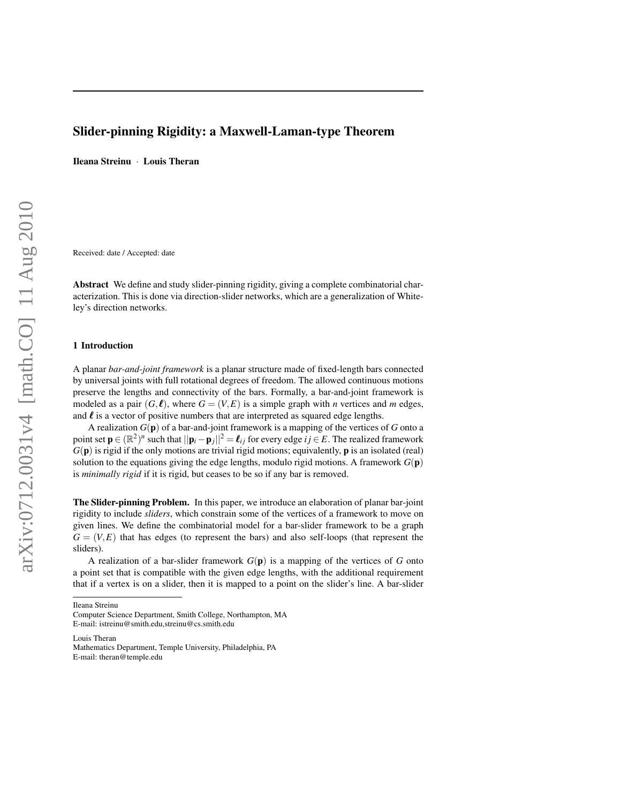# Slider-pinning Rigidity: a Maxwell-Laman-type Theorem

Ileana Streinu · Louis Theran

Received: date / Accepted: date

Abstract We define and study slider-pinning rigidity, giving a complete combinatorial characterization. This is done via direction-slider networks, which are a generalization of Whiteley's direction networks.

#### 1 Introduction

A planar *bar-and-joint framework* is a planar structure made of fixed-length bars connected by universal joints with full rotational degrees of freedom. The allowed continuous motions preserve the lengths and connectivity of the bars. Formally, a bar-and-joint framework is modeled as a pair  $(G, \ell)$ , where  $G = (V, E)$  is a simple graph with *n* vertices and *m* edges, and  $\ell$  is a vector of positive numbers that are interpreted as squared edge lengths.

A realization *G*(p) of a bar-and-joint framework is a mapping of the vertices of *G* onto a point set  $\mathbf{p} \in (\mathbb{R}^2)^n$  such that  $||\mathbf{p}_i - \mathbf{p}_j||^2 = \ell_{ij}$  for every edge  $ij \in E$ . The realized framework  $G(\mathbf{p})$  is rigid if the only motions are trivial rigid motions; equivalently,  $\mathbf{p}$  is an isolated (real) solution to the equations giving the edge lengths, modulo rigid motions. A framework  $G(\mathbf{p})$ is *minimally rigid* if it is rigid, but ceases to be so if any bar is removed.

The Slider-pinning Problem. In this paper, we introduce an elaboration of planar bar-joint rigidity to include *sliders*, which constrain some of the vertices of a framework to move on given lines. We define the combinatorial model for a bar-slider framework to be a graph  $G = (V, E)$  that has edges (to represent the bars) and also self-loops (that represent the sliders).

A realization of a bar-slider framework  $G(\mathbf{p})$  is a mapping of the vertices of G onto a point set that is compatible with the given edge lengths, with the additional requirement that if a vertex is on a slider, then it is mapped to a point on the slider's line. A bar-slider

Ileana Streinu

Louis Theran

Computer Science Department, Smith College, Northampton, MA E-mail: istreinu@smith.edu,streinu@cs.smith.edu

Mathematics Department, Temple University, Philadelphia, PA E-mail: theran@temple.edu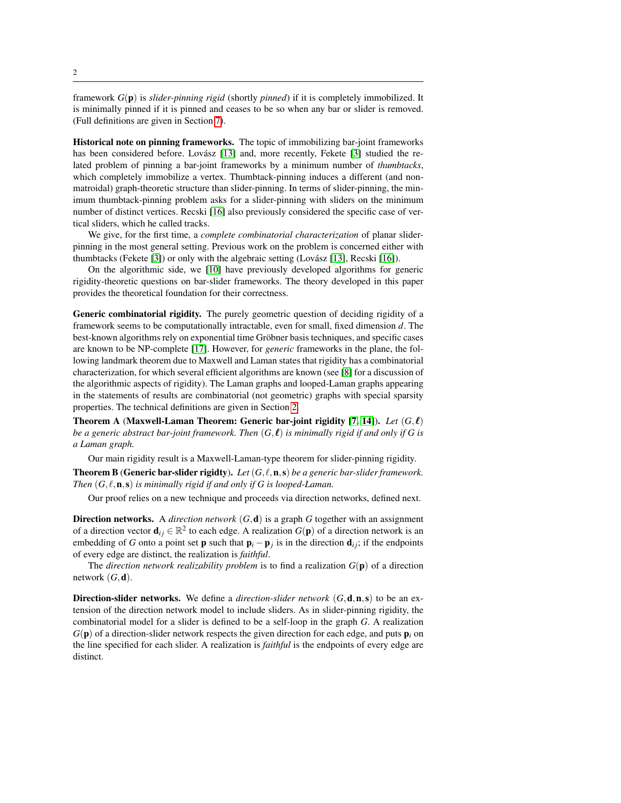framework *G*(p) is *slider-pinning rigid* (shortly *pinned*) if it is completely immobilized. It is minimally pinned if it is pinned and ceases to be so when any bar or slider is removed. (Full definitions are given in Section [7\)](#page-20-0).

Historical note on pinning frameworks. The topic of immobilizing bar-joint frameworks has been considered before. Lovász [\[13\]](#page-24-0) and, more recently, Fekete [\[3\]](#page-23-0) studied the related problem of pinning a bar-joint frameworks by a minimum number of *thumbtacks*, which completely immobilize a vertex. Thumbtack-pinning induces a different (and nonmatroidal) graph-theoretic structure than slider-pinning. In terms of slider-pinning, the minimum thumbtack-pinning problem asks for a slider-pinning with sliders on the minimum number of distinct vertices. Recski [\[16\]](#page-24-1) also previously considered the specific case of vertical sliders, which he called tracks.

We give, for the first time, a *complete combinatorial characterization* of planar sliderpinning in the most general setting. Previous work on the problem is concerned either with thumbtacks (Fekete  $[3]$ ) or only with the algebraic setting (Lovász  $[13]$ , Recski  $[16]$ ).

On the algorithmic side, we [\[10\]](#page-24-2) have previously developed algorithms for generic rigidity-theoretic questions on bar-slider frameworks. The theory developed in this paper provides the theoretical foundation for their correctness.

Generic combinatorial rigidity. The purely geometric question of deciding rigidity of a framework seems to be computationally intractable, even for small, fixed dimension *d*. The best-known algorithms rely on exponential time Gröbner basis techniques, and specific cases are known to be NP-complete [\[17\]](#page-24-3). However, for *generic* frameworks in the plane, the following landmark theorem due to Maxwell and Laman states that rigidity has a combinatorial characterization, for which several efficient algorithms are known (see [\[8\]](#page-23-1) for a discussion of the algorithmic aspects of rigidity). The Laman graphs and looped-Laman graphs appearing in the statements of results are combinatorial (not geometric) graphs with special sparsity properties. The technical definitions are given in Section [2.](#page-5-0)

<span id="page-2-0"></span>Theorem A (Maxwell-Laman Theorem: Generic bar-joint rigidity [\[7,](#page-23-2) [14\]](#page-24-4)). Let  $(G,\ell)$ *be a generic abstract bar-joint framework. Then*  $(G, \ell)$  *is minimally rigid if and only if G is a Laman graph.*

Our main rigidity result is a Maxwell-Laman-type theorem for slider-pinning rigidity.

<span id="page-2-1"></span>**Theorem B** (Generic bar-slider rigidty). Let  $(G, \ell, n, s)$  be a generic bar-slider framework. *Then*  $(G, \ell, n, s)$  *is minimally rigid if and only if G is looped-Laman.* 

Our proof relies on a new technique and proceeds via direction networks, defined next.

**Direction networks.** A *direction network*  $(G, d)$  is a graph  $G$  together with an assignment of a direction vector  $\mathbf{d}_{ij} \in \mathbb{R}^2$  to each edge. A realization  $G(\mathbf{p})$  of a direction network is an embedding of *G* onto a point set **p** such that  $\mathbf{p}_i - \mathbf{p}_j$  is in the direction  $\mathbf{d}_{ij}$ ; if the endpoints of every edge are distinct, the realization is *faithful*.

The *direction network realizability problem* is to find a realization  $G(\mathbf{p})$  of a direction network  $(G, d)$ .

Direction-slider networks. We define a *direction-slider network* (*G*,d,n,s) to be an extension of the direction network model to include sliders. As in slider-pinning rigidity, the combinatorial model for a slider is defined to be a self-loop in the graph *G*. A realization  $G(\mathbf{p})$  of a direction-slider network respects the given direction for each edge, and puts  $\mathbf{p}_i$  on the line specified for each slider. A realization is *faithful* is the endpoints of every edge are distinct.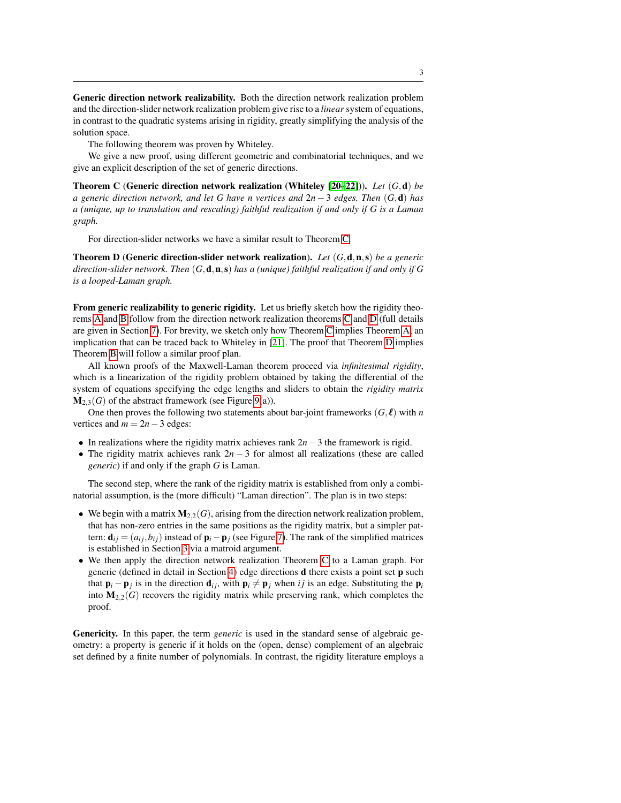Generic direction network realizability. Both the direction network realization problem and the direction-slider network realization problem give rise to a *linear* system of equations, in contrast to the quadratic systems arising in rigidity, greatly simplifying the analysis of the solution space.

The following theorem was proven by Whiteley.

We give a new proof, using different geometric and combinatorial techniques, and we give an explicit description of the set of generic directions.

<span id="page-3-0"></span>Theorem C (Generic direction network realization (Whiteley [\[20](#page-24-5)[–22\]](#page-24-6))). *Let* (*G*,d) *be a generic direction network, and let G have n vertices and* 2*n* − 3 *edges. Then* (*G*,d) *has a (unique, up to translation and rescaling) faithful realization if and only if G is a Laman graph.*

For direction-slider networks we have a similar result to Theorem [C.](#page-3-0)

<span id="page-3-1"></span>Theorem D (Generic direction-slider network realization). *Let* (*G*,d,n,s) *be a generic direction-slider network. Then* (*G*,d,n,s) *has a (unique) faithful realization if and only if G is a looped-Laman graph.*

From generic realizability to generic rigidity. Let us briefly sketch how the rigidity theorems [A](#page-2-0) and [B](#page-2-1) follow from the direction network realization theorems [C](#page-3-0) and [D](#page-3-1) (full details are given in Section [7\)](#page-20-0). For brevity, we sketch only how Theorem [C](#page-3-0) implies Theorem [A,](#page-2-0) an implication that can be traced back to Whiteley in [\[21\]](#page-24-7). The proof that Theorem [D](#page-3-1) implies Theorem [B](#page-2-1) will follow a similar proof plan.

All known proofs of the Maxwell-Laman theorem proceed via *infinitesimal rigidity*, which is a linearization of the rigidity problem obtained by taking the differential of the system of equations specifying the edge lengths and sliders to obtain the *rigidity matrix*  $M_{2,3}(G)$  of the abstract framework (see Figure [9\(](#page-20-1)a)).

One then proves the following two statements about bar-joint frameworks  $(G, \ell)$  with *n* vertices and  $m = 2n - 3$  edges:

- In realizations where the rigidity matrix achieves rank 2*n*−3 the framework is rigid.
- The rigidity matrix achieves rank  $2n-3$  for almost all realizations (these are called *generic*) if and only if the graph *G* is Laman.

The second step, where the rank of the rigidity matrix is established from only a combinatorial assumption, is the (more difficult) "Laman direction". The plan is in two steps:

- We begin with a matrix  $M_{2,2}(G)$ , arising from the direction network realization problem, that has non-zero entries in the same positions as the rigidity matrix, but a simpler pattern:  $\mathbf{d}_{ij} = (a_{ij}, b_{ij})$  instead of  $\mathbf{p}_i - \mathbf{p}_j$  (see Figure [7\)](#page-11-0). The rank of the simplified matrices is established in Section [3](#page-8-0) via a matroid argument.
- We then apply the direction network realization Theorem [C](#page-3-0) to a Laman graph. For generic (defined in detail in Section [4\)](#page-12-0) edge directions d there exists a point set p such that  $\mathbf{p}_i - \mathbf{p}_j$  is in the direction  $\mathbf{d}_{ij}$ , with  $\mathbf{p}_i \neq \mathbf{p}_j$  when *i j* is an edge. Substituting the  $\mathbf{p}_i$ into  $M_{2,2}(G)$  recovers the rigidity matrix while preserving rank, which completes the proof.

Genericity. In this paper, the term *generic* is used in the standard sense of algebraic geometry: a property is generic if it holds on the (open, dense) complement of an algebraic set defined by a finite number of polynomials. In contrast, the rigidity literature employs a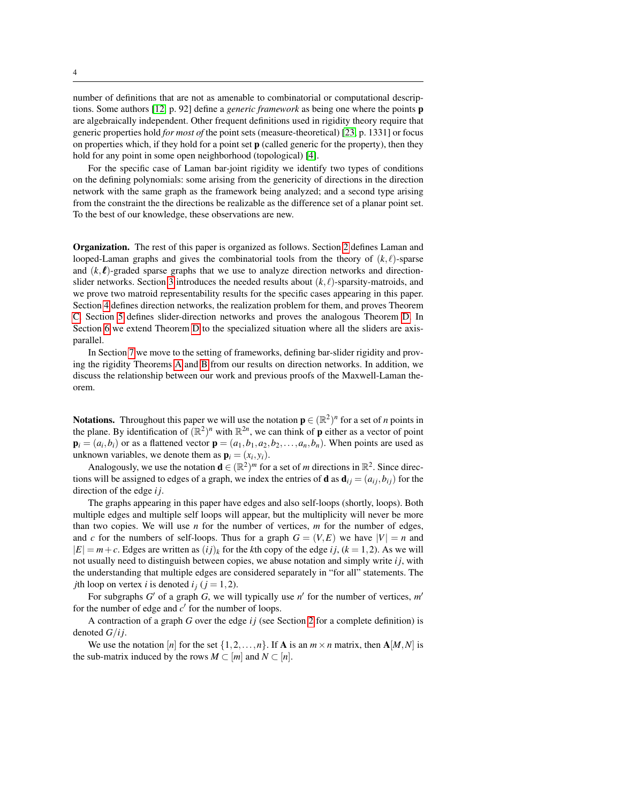number of definitions that are not as amenable to combinatorial or computational descriptions. Some authors [\[12,](#page-24-8) p. 92] define a *generic framework* as being one where the points p are algebraically independent. Other frequent definitions used in rigidity theory require that generic properties hold *for most of* the point sets (measure-theoretical) [\[23,](#page-24-9) p. 1331] or focus on properties which, if they hold for a point set  $\bf{p}$  (called generic for the property), then they hold for any point in some open neighborhood (topological) [\[4\]](#page-23-3).

For the specific case of Laman bar-joint rigidity we identify two types of conditions on the defining polynomials: some arising from the genericity of directions in the direction network with the same graph as the framework being analyzed; and a second type arising from the constraint the the directions be realizable as the difference set of a planar point set. To the best of our knowledge, these observations are new.

Organization. The rest of this paper is organized as follows. Section [2](#page-5-0) defines Laman and looped-Laman graphs and gives the combinatorial tools from the theory of  $(k, \ell)$ -sparse and  $(k, \ell)$ -graded sparse graphs that we use to analyze direction networks and direction-slider networks. Section [3](#page-8-0) introduces the needed results about  $(k, \ell)$ -sparsity-matroids, and we prove two matroid representability results for the specific cases appearing in this paper. Section [4](#page-12-0) defines direction networks, the realization problem for them, and proves Theorem [C.](#page-3-0) Section [5](#page-15-0) defines slider-direction networks and proves the analogous Theorem [D.](#page-3-1) In Section [6](#page-18-0) we extend Theorem [D](#page-3-1) to the specialized situation where all the sliders are axisparallel.

In Section [7](#page-20-0) we move to the setting of frameworks, defining bar-slider rigidity and proving the rigidity Theorems [A](#page-2-0) and [B](#page-2-1) from our results on direction networks. In addition, we discuss the relationship between our work and previous proofs of the Maxwell-Laman theorem.

**Notations.** Throughout this paper we will use the notation  $\mathbf{p} \in (\mathbb{R}^2)^n$  for a set of *n* points in the plane. By identification of  $(\mathbb{R}^2)^n$  with  $\mathbb{R}^{2n}$ , we can think of **p** either as a vector of point  $\mathbf{p}_i = (a_i, b_i)$  or as a flattened vector  $\mathbf{p} = (a_1, b_1, a_2, b_2, \dots, a_n, b_n)$ . When points are used as unknown variables, we denote them as  $\mathbf{p}_i = (x_i, y_i)$ .

Analogously, we use the notation  $\mathbf{d} \in (\mathbb{R}^2)^m$  for a set of *m* directions in  $\mathbb{R}^2$ . Since directions will be assigned to edges of a graph, we index the entries of **d** as  $\mathbf{d}_{ij} = (a_{ij}, b_{ij})$  for the direction of the edge *i j*.

The graphs appearing in this paper have edges and also self-loops (shortly, loops). Both multiple edges and multiple self loops will appear, but the multiplicity will never be more than two copies. We will use *n* for the number of vertices, *m* for the number of edges, and *c* for the numbers of self-loops. Thus for a graph  $G = (V, E)$  we have  $|V| = n$  and  $|E| = m + c$ . Edges are written as  $(ij)_k$  for the *k*th copy of the edge *i* j, ( $k = 1, 2$ ). As we will not usually need to distinguish between copies, we abuse notation and simply write *i j*, with the understanding that multiple edges are considered separately in "for all" statements. The *j*th loop on vertex *i* is denoted  $i_j$  ( $j = 1, 2$ ).

For subgraphs  $G'$  of a graph  $G$ , we will typically use  $n'$  for the number of vertices,  $m'$ for the number of edge and  $c'$  for the number of loops.

A contraction of a graph *G* over the edge *i j* (see Section [2](#page-5-0) for a complete definition) is denoted *G*/*i j*.

We use the notation [*n*] for the set  $\{1,2,\ldots,n\}$ . If **A** is an  $m \times n$  matrix, then **A**[*M*,*N*] is the sub-matrix induced by the rows  $M \subset [m]$  and  $N \subset [n]$ .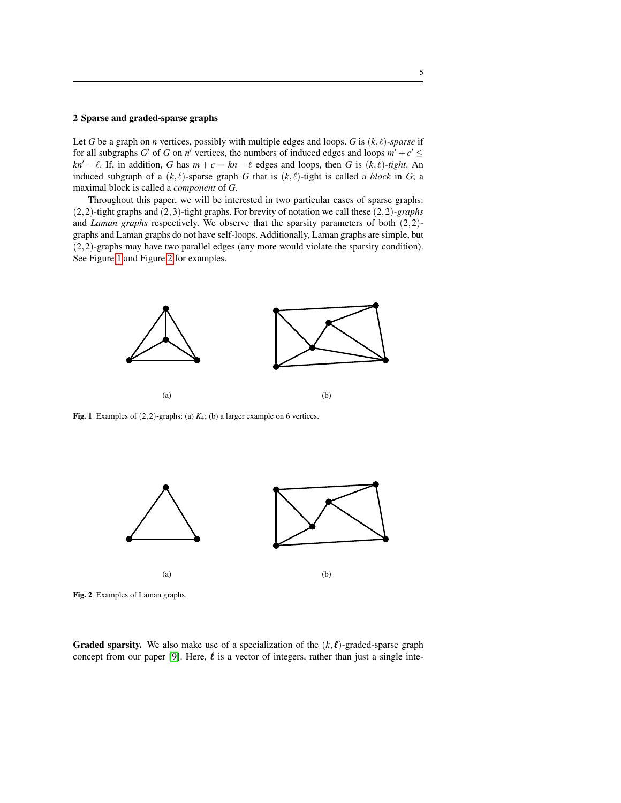#### <span id="page-5-0"></span>2 Sparse and graded-sparse graphs

Let *G* be a graph on *n* vertices, possibly with multiple edges and loops. *G* is  $(k, \ell)$ *-sparse* if for all subgraphs *G*<sup> $\prime$ </sup> of *G* on *n*<sup> $\prime$ </sup> vertices, the numbers of induced edges and loops  $m' + c' \leq$ *kn'* −  $\ell$ . If, in addition, *G* has  $m + c = kn - \ell$  edges and loops, then *G* is  $(k, \ell)$ *-tight*. An induced subgraph of a  $(k, \ell)$ -sparse graph *G* that is  $(k, \ell)$ -tight is called a *block* in *G*; a maximal block is called a *component* of *G*.

Throughout this paper, we will be interested in two particular cases of sparse graphs: (2,2)-tight graphs and (2,3)-tight graphs. For brevity of notation we call these (2,2)*-graphs* and *Laman graphs* respectively. We observe that the sparsity parameters of both (2,2) graphs and Laman graphs do not have self-loops. Additionally, Laman graphs are simple, but (2,2)-graphs may have two parallel edges (any more would violate the sparsity condition). See Figure [1](#page-5-1) and Figure [2](#page-5-2) for examples.



<span id="page-5-1"></span>Fig. 1 Examples of  $(2,2)$ -graphs: (a)  $K_4$ ; (b) a larger example on 6 vertices.



<span id="page-5-2"></span>Fig. 2 Examples of Laman graphs.

**Graded sparsity.** We also make use of a specialization of the  $(k, \ell)$ -graded-sparse graph concept from our paper [\[9\]](#page-23-4). Here,  $\ell$  is a vector of integers, rather than just a single inte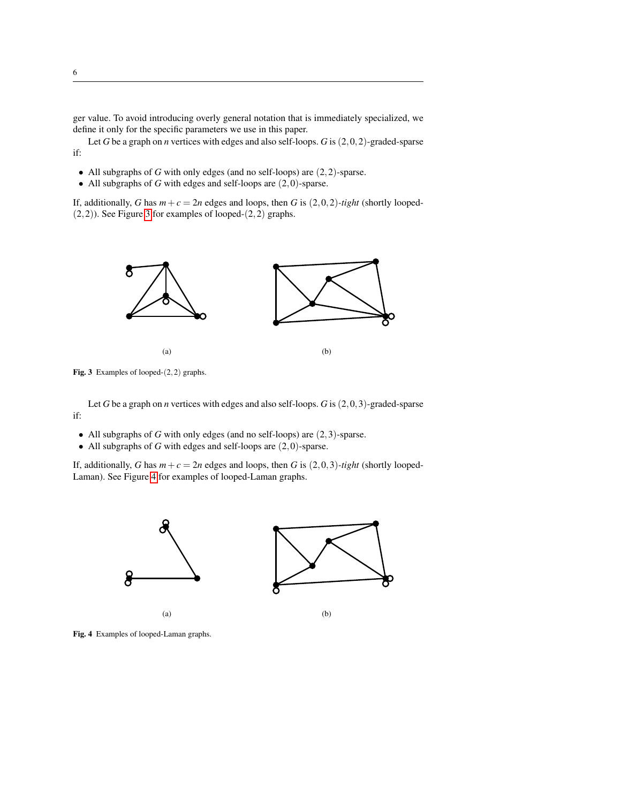ger value. To avoid introducing overly general notation that is immediately specialized, we define it only for the specific parameters we use in this paper.

Let *G* be a graph on *n* vertices with edges and also self-loops. *G* is (2,0,2)-graded-sparse if:

- All subgraphs of *G* with only edges (and no self-loops) are (2,2)-sparse.
- All subgraphs of *G* with edges and self-loops are  $(2,0)$ -sparse.

If, additionally, *G* has  $m + c = 2n$  edges and loops, then *G* is  $(2,0,2)$ *-tight* (shortly looped-(2,2)). See Figure [3](#page-6-0) for examples of looped-(2,2) graphs.



<span id="page-6-0"></span>Fig. 3 Examples of looped-(2,2) graphs.

Let *G* be a graph on *n* vertices with edges and also self-loops. *G* is (2,0,3)-graded-sparse if:

- All subgraphs of *G* with only edges (and no self-loops) are (2,3)-sparse.
- All subgraphs of *G* with edges and self-loops are (2,0)-sparse.

If, additionally, *G* has  $m + c = 2n$  edges and loops, then *G* is  $(2,0,3)$ *-tight* (shortly looped-Laman). See Figure [4](#page-6-1) for examples of looped-Laman graphs.



<span id="page-6-1"></span>Fig. 4 Examples of looped-Laman graphs.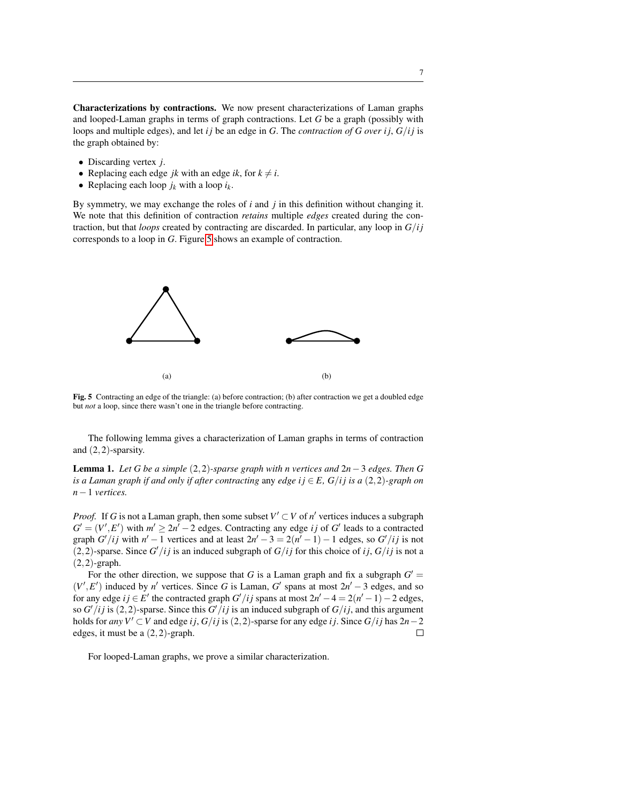Characterizations by contractions. We now present characterizations of Laman graphs and looped-Laman graphs in terms of graph contractions. Let *G* be a graph (possibly with loops and multiple edges), and let *i* j be an edge in *G*. The *contraction of G over i* j,  $G/ij$  is the graph obtained by:

- Discarding vertex *j*.
- Replacing each edge *jk* with an edge *ik*, for  $k \neq i$ .
- Replacing each loop  $j_k$  with a loop  $i_k$ .

By symmetry, we may exchange the roles of *i* and *j* in this definition without changing it. We note that this definition of contraction *retains* multiple *edges* created during the contraction, but that *loops* created by contracting are discarded. In particular, any loop in *G*/*i j* corresponds to a loop in *G*. Figure [5](#page-7-0) shows an example of contraction.



<span id="page-7-0"></span>Fig. 5 Contracting an edge of the triangle: (a) before contraction; (b) after contraction we get a doubled edge but *not* a loop, since there wasn't one in the triangle before contracting.

The following lemma gives a characterization of Laman graphs in terms of contraction and (2,2)-sparsity.

<span id="page-7-1"></span>Lemma 1. *Let G be a simple* (2,2)*-sparse graph with n vertices and* 2*n*−3 *edges. Then G is a Laman graph if and only if after contracting any edge i*  $j \in E$ *,*  $G/ij$  *is a (2,2)-graph on n*−1 *vertices.*

*Proof.* If *G* is not a Laman graph, then some subset  $V' \subset V$  of  $n'$  vertices induces a subgraph  $G' = (V', E')$  with  $m' \geq 2n' - 2$  edges. Contracting any edge *ij* of *G*' leads to a contracted graph *G'* /*ij* with  $n' - 1$  vertices and at least  $2n' - 3 = 2(n' - 1) - 1$  edges, so *G'* /*ij* is not (2,2)-sparse. Since  $G'/ij$  is an induced subgraph of  $G/ij$  for this choice of *i j*,  $G/ij$  is not a  $(2,2)$ -graph.

For the other direction, we suppose that *G* is a Laman graph and fix a subgraph  $G' =$  $(V', E')$  induced by *n'* vertices. Since *G* is Laman, *G'* spans at most  $2n' - 3$  edges, and so for any edge  $ij \in E'$  the contracted graph  $G'/ij$  spans at most  $2n' - 4 = 2(n' - 1) - 2$  edges, so  $G'/ij$  is (2,2)-sparse. Since this  $G'/ij$  is an induced subgraph of  $G/ij$ , and this argument holds for *any*  $V' \subset V$  and edge *i j*,  $G/ij$  is (2,2)-sparse for any edge *i j*. Since  $G/ij$  has  $2n-2$ edges, it must be a (2,2)-graph.  $\Box$ 

For looped-Laman graphs, we prove a similar characterization.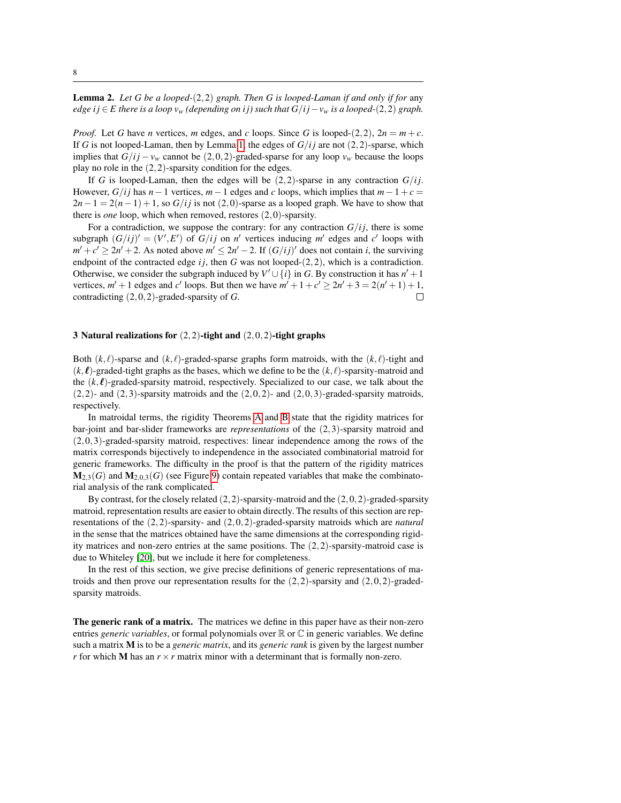<span id="page-8-1"></span>Lemma 2. *Let G be a looped-*(2,2) *graph. Then G is looped-Laman if and only if for* any *edge i j* ∈ *E* there is a loop  $v_w$  (depending on i *j*) such that  $G/i - v_w$  is a looped-(2,2) graph.

*Proof.* Let *G* have *n* vertices, *m* edges, and *c* loops. Since *G* is looped-(2,2),  $2n = m + c$ . If *G* is not looped-Laman, then by Lemma [1,](#page-7-1) the edges of  $G/ij$  are not  $(2,2)$ -sparse, which implies that  $G/ij - v_w$  cannot be (2,0,2)-graded-sparse for any loop  $v_w$  because the loops play no role in the  $(2,2)$ -sparsity condition for the edges.

If *G* is looped-Laman, then the edges will be  $(2,2)$ -sparse in any contraction  $G/i$ . However, *G*/*i* j has  $n-1$  vertices,  $m-1$  edges and *c* loops, which implies that  $m-1+c=$  $2n-1 = 2(n-1) + 1$ , so  $G/ij$  is not (2,0)-sparse as a looped graph. We have to show that there is *one* loop, which when removed, restores (2,0)-sparsity.

For a contradiction, we suppose the contrary: for any contraction  $G/i$ , there is some subgraph  $(G/ij)' = (V', E')$  of  $G/ij$  on *n'* vertices inducing *m'* edges and *c'* loops with  $m' + c' \geq 2n' + 2$ . As noted above  $m' \leq 2n' - 2$ . If  $(G/ij)'$  does not contain *i*, the surviving endpoint of the contracted edge  $ij$ , then  $G$  was not looped- $(2,2)$ , which is a contradiction. Otherwise, we consider the subgraph induced by  $V' \cup \{i\}$  in *G*. By construction it has  $n' + 1$ vertices,  $m' + 1$  edges and *c*' loops. But then we have  $m' + 1 + c' \ge 2n' + 3 = 2(n' + 1) + 1$ , contradicting (2,0,2)-graded-sparsity of *G*.  $\Box$ 

#### <span id="page-8-0"></span>3 Natural realizations for  $(2,2)$ -tight and  $(2,0,2)$ -tight graphs

Both  $(k, \ell)$ -sparse and  $(k, \ell)$ -graded-sparse graphs form matroids, with the  $(k, \ell)$ -tight and  $(k, l)$ -graded-tight graphs as the bases, which we define to be the  $(k, l)$ -sparsity-matroid and the  $(k, l)$ -graded-sparsity matroid, respectively. Specialized to our case, we talk about the  $(2,2)$ - and  $(2,3)$ -sparsity matroids and the  $(2,0,2)$ - and  $(2,0,3)$ -graded-sparsity matroids, respectively.

In matroidal terms, the rigidity Theorems [A](#page-2-0) and [B](#page-2-1) state that the rigidity matrices for bar-joint and bar-slider frameworks are *representations* of the (2,3)-sparsity matroid and (2,0,3)-graded-sparsity matroid, respectives: linear independence among the rows of the matrix corresponds bijectively to independence in the associated combinatorial matroid for generic frameworks. The difficulty in the proof is that the pattern of the rigidity matrices  $M_{2,3}(G)$  and  $M_{2,0,3}(G)$  (see Figure [9\)](#page-20-1) contain repeated variables that make the combinatorial analysis of the rank complicated.

By contrast, for the closely related  $(2,2)$ -sparsity-matroid and the  $(2,0,2)$ -graded-sparsity matroid, representation results are easier to obtain directly. The results of this section are representations of the (2,2)-sparsity- and (2,0,2)-graded-sparsity matroids which are *natural* in the sense that the matrices obtained have the same dimensions at the corresponding rigidity matrices and non-zero entries at the same positions. The  $(2,2)$ -sparsity-matroid case is due to Whiteley [\[20\]](#page-24-5), but we include it here for completeness.

In the rest of this section, we give precise definitions of generic representations of matroids and then prove our representation results for the  $(2,2)$ -sparsity and  $(2,0,2)$ -gradedsparsity matroids.

The generic rank of a matrix. The matrices we define in this paper have as their non-zero entries *generic variables*, or formal polynomials over R or C in generic variables. We define such a matrix M is to be a *generic matrix*, and its *generic rank* is given by the largest number *r* for which **M** has an  $r \times r$  matrix minor with a determinant that is formally non-zero.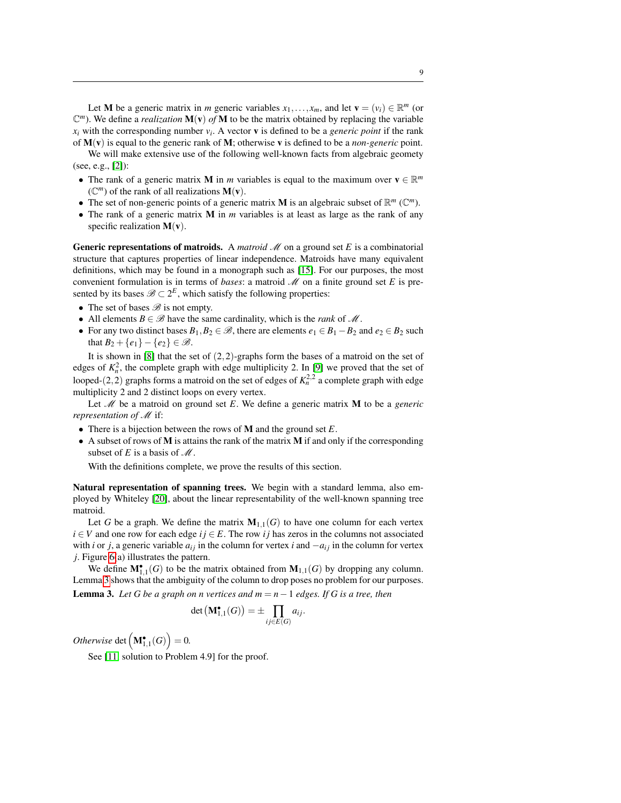Let M be a generic matrix in *m* generic variables  $x_1, \ldots, x_m$ , and let  $\mathbf{v} = (v_i) \in \mathbb{R}^m$  (or  $\mathbb{C}^m$ ). We define a *realization*  $\mathbf{M}(\mathbf{v})$  *of* **M** to be the matrix obtained by replacing the variable  $x_i$  with the corresponding number  $v_i$ . A vector **v** is defined to be a *generic point* if the rank of M(v) is equal to the generic rank of M; otherwise v is defined to be a *non-generic* point.

We will make extensive use of the following well-known facts from algebraic geomety (see, e.g., [\[2\]](#page-23-5)):

- The rank of a generic matrix **M** in *m* variables is equal to the maximum over  $\mathbf{v} \in \mathbb{R}^m$  $(\mathbb{C}^m)$  of the rank of all realizations  $M(v)$ .
- The set of non-generic points of a generic matrix **M** is an algebraic subset of  $\mathbb{R}^m$  ( $\mathbb{C}^m$ ).
- The rank of a generic matrix M in *m* variables is at least as large as the rank of any specific realization  $M(v)$ .

**Generic representations of matroids.** A *matroid*  $\mathcal{M}$  on a ground set *E* is a combinatorial structure that captures properties of linear independence. Matroids have many equivalent definitions, which may be found in a monograph such as [\[15\]](#page-24-10). For our purposes, the most convenient formulation is in terms of *bases*: a matroid  $M$  on a finite ground set  $E$  is presented by its bases  $\mathscr{B} \subset 2^E$ , which satisfy the following properties:

- The set of bases  $\mathscr{B}$  is not empty.
- All elements  $B \in \mathcal{B}$  have the same cardinality, which is the *rank* of  $\mathcal{M}$ .
- For any two distinct bases  $B_1, B_2 \in \mathcal{B}$ , there are elements  $e_1 \in B_1 B_2$  and  $e_2 \in B_2$  such that  $B_2 + \{e_1\} - \{e_2\} \in \mathcal{B}$ .

It is shown in  $[8]$  that the set of  $(2,2)$ -graphs form the bases of a matroid on the set of edges of  $K_n^2$ , the complete graph with edge multiplicity 2. In [\[9\]](#page-23-4) we proved that the set of looped-(2,2) graphs forms a matroid on the set of edges of  $K_n^{2,2}$  a complete graph with edge multiplicity 2 and 2 distinct loops on every vertex.

Let M be a matroid on ground set *E*. We define a generic matrix M to be a *generic representation of M* if:

- There is a bijection between the rows of M and the ground set *E*.
- A subset of rows of M is attains the rank of the matrix M if and only if the corresponding subset of  $E$  is a basis of  $\mathcal M$ .

With the definitions complete, we prove the results of this section.

Natural representation of spanning trees. We begin with a standard lemma, also employed by Whiteley [\[20\]](#page-24-5), about the linear representability of the well-known spanning tree matroid.

Let *G* be a graph. We define the matrix  $M_{1,1}(G)$  to have one column for each vertex  $i \in V$  and one row for each edge  $ij \in E$ . The row *i j* has zeros in the columns not associated with *i* or *j*, a generic variable  $a_{ij}$  in the column for vertex *i* and  $-a_{ij}$  in the column for vertex *j*. Figure [6\(](#page-10-0)a) illustrates the pattern.

<span id="page-9-0"></span>We define  $M^{\bullet}_{1,1}(G)$  to be the matrix obtained from  $M_{1,1}(G)$  by dropping any column. Lemma [3](#page-9-0) shows that the ambiguity of the column to drop poses no problem for our purposes. **Lemma 3.** Let G be a graph on n vertices and  $m = n - 1$  edges. If G is a tree, then

$$
\det\left(\mathbf{M}_{1,1}^{\bullet}(G)\right)=\pm\prod_{ij\in E(G)}a_{ij}.
$$

*Otherwise* det  $(\mathbf{M}_{1,1}^{\bullet}(G))=0$ .

See [\[11,](#page-24-11) solution to Problem 4.9] for the proof.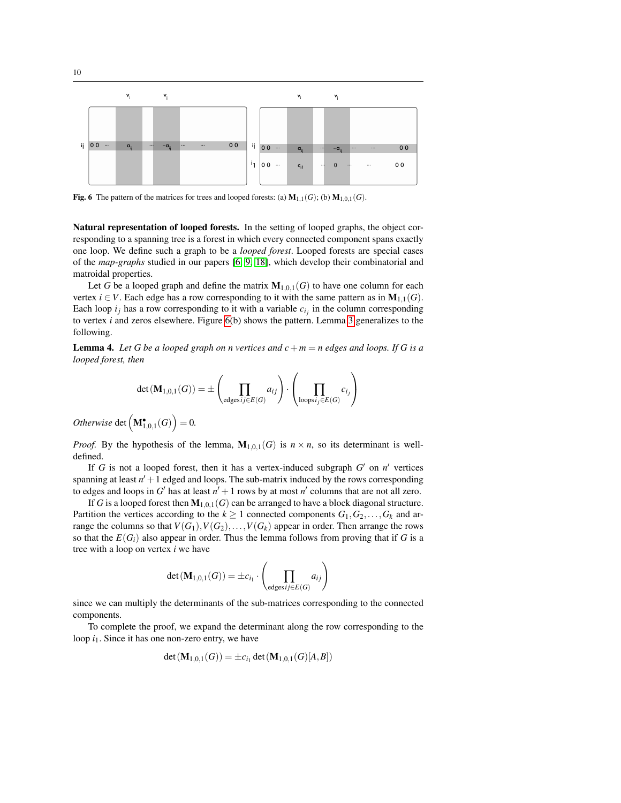

<span id="page-10-0"></span>Fig. 6 The pattern of the matrices for trees and looped forests: (a)  $M_{1,1}(G)$ ; (b)  $M_{1,0,1}(G)$ .

Natural representation of looped forests. In the setting of looped graphs, the object corresponding to a spanning tree is a forest in which every connected component spans exactly one loop. We define such a graph to be a *looped forest*. Looped forests are special cases of the *map-graphs* studied in our papers [\[6,](#page-23-6) [9,](#page-23-4) [18\]](#page-24-12), which develop their combinatorial and matroidal properties.

Let *G* be a looped graph and define the matrix  $M_{1,0,1}(G)$  to have one column for each vertex *i*  $\in$  *V*. Each edge has a row corresponding to it with the same pattern as in  $M_{1,1}(G)$ . Each loop  $i_j$  has a row corresponding to it with a variable  $c_{i_j}$  in the column corresponding to vertex *i* and zeros elsewhere. Figure [6\(](#page-10-0)b) shows the pattern. Lemma [3](#page-9-0) generalizes to the following.

<span id="page-10-1"></span>**Lemma 4.** Let G be a looped graph on n vertices and  $c+m=n$  edges and loops. If G is a *looped forest, then*

$$
\det(\mathbf{M}_{1,0,1}(G)) = \pm \left( \prod_{\text{edges }ij \in E(G)} a_{ij} \right) \cdot \left( \prod_{\text{loops }ij \in E(G)} c_{ij} \right)
$$

 $Otherwise \det \left( \mathbf{M}_{1,0,1}^{\bullet}(G) \right) = 0.$ 

*Proof.* By the hypothesis of the lemma,  $M_{1,0,1}(G)$  is  $n \times n$ , so its determinant is welldefined.

If  $G$  is not a looped forest, then it has a vertex-induced subgraph  $G'$  on  $n'$  vertices spanning at least  $n' + 1$  edged and loops. The sub-matrix induced by the rows corresponding to edges and loops in  $G'$  has at least  $n' + 1$  rows by at most  $n'$  columns that are not all zero.

If *G* is a looped forest then  $M_{1,0,1}(G)$  can be arranged to have a block diagonal structure. Partition the vertices according to the  $k \geq 1$  connected components  $G_1, G_2, \ldots, G_k$  and arrange the columns so that  $V(G_1), V(G_2), \ldots, V(G_k)$  appear in order. Then arrange the rows so that the  $E(G_i)$  also appear in order. Thus the lemma follows from proving that if G is a tree with a loop on vertex *i* we have

$$
\det(\mathbf{M}_{1,0,1}(G)) = \pm c_{i_1} \cdot \left(\prod_{\text{edges }i_j \in E(G)} a_{ij}\right)
$$

since we can multiply the determinants of the sub-matrices corresponding to the connected components.

To complete the proof, we expand the determinant along the row corresponding to the loop  $i_1$ . Since it has one non-zero entry, we have

$$
\det(\mathbf{M}_{1,0,1}(G)) = \pm c_{i_1} \det(\mathbf{M}_{1,0,1}(G)[A,B])
$$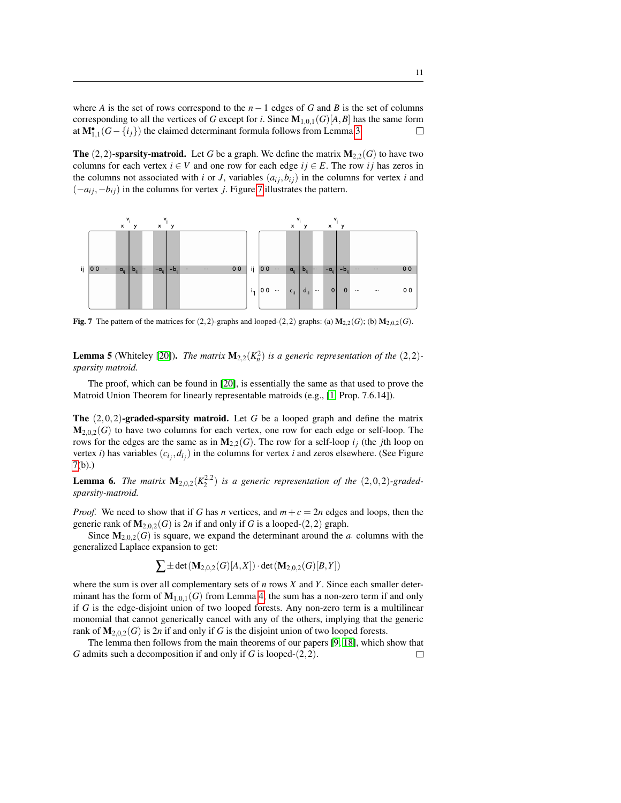where *A* is the set of rows correspond to the  $n - 1$  edges of *G* and *B* is the set of columns corresponding to all the vertices of *G* except for *i*. Since  $M_{1,0,1}(G)[A,B]$  has the same form at  $M_{1,1}^{\bullet}(G - \{i_j\})$  the claimed determinant formula follows from Lemma [3.](#page-9-0)  $\Box$ 

**The** (2,2)-**sparsity-matroid.** Let *G* be a graph. We define the matrix  $M_{2,2}(G)$  to have two columns for each vertex  $i \in V$  and one row for each edge  $ij \in E$ . The row *ij* has zeros in the columns not associated with *i* or *J*, variables  $(a_{ij}, b_{ij})$  in the columns for vertex *i* and  $(-a_{ij}, -b_{ij})$  in the columns for vertex *j*. Figure [7](#page-11-0) illustrates the pattern.



<span id="page-11-0"></span>Fig. 7 The pattern of the matrices for  $(2,2)$ -graphs and looped- $(2,2)$  graphs: (a)  $M_{2,2}(G)$ ; (b)  $M_{2,0,2}(G)$ .

<span id="page-11-1"></span>**Lemma 5** (Whiteley [\[20\]](#page-24-5)). *The matrix*  $\mathbf{M}_{2,2}(K_n^2)$  *is a generic representation of the* (2,2)*sparsity matroid.*

The proof, which can be found in [\[20\]](#page-24-5), is essentially the same as that used to prove the Matroid Union Theorem for linearly representable matroids (e.g., [\[1,](#page-23-7) Prop. 7.6.14]).

The (2,0,2)-graded-sparsity matroid. Let *G* be a looped graph and define the matrix  $M_{2,0,2}(G)$  to have two columns for each vertex, one row for each edge or self-loop. The rows for the edges are the same as in  $M_{2,2}(G)$ . The row for a self-loop  $i_j$  (the *j*th loop on vertex *i*) has variables  $(c_{i_j}, d_{i_j})$  in the columns for vertex *i* and zeros elsewhere. (See Figure [7\(](#page-11-0)b).)

<span id="page-11-2"></span>**Lemma 6.** The matrix  $M_{2,0,2}(K_2^{2,2})$  is a generic representation of the  $(2,0,2)$ -graded*sparsity-matroid.*

*Proof.* We need to show that if *G* has *n* vertices, and  $m + c = 2n$  edges and loops, then the generic rank of  $M_{2,0,2}(G)$  is 2*n* if and only if *G* is a looped-(2,2) graph.

Since  $M_{2,0,2}(G)$  is square, we expand the determinant around the *a*. columns with the generalized Laplace expansion to get:

 $\sum \pm \det (\mathbf{M}_{2,0,2}(G)[A,X]) \cdot \det (\mathbf{M}_{2,0,2}(G)[B,Y])$ 

where the sum is over all complementary sets of *n* rows *X* and *Y*. Since each smaller determinant has the form of  $M_{1,0,1}(G)$  from Lemma [4,](#page-10-1) the sum has a non-zero term if and only if *G* is the edge-disjoint union of two looped forests. Any non-zero term is a multilinear monomial that cannot generically cancel with any of the others, implying that the generic rank of  $M_{2,0,2}(G)$  is 2*n* if and only if G is the disjoint union of two looped forests.

The lemma then follows from the main theorems of our papers [\[9,](#page-23-4) [18\]](#page-24-12), which show that *G* admits such a decomposition if and only if *G* is looped-(2,2). $\Box$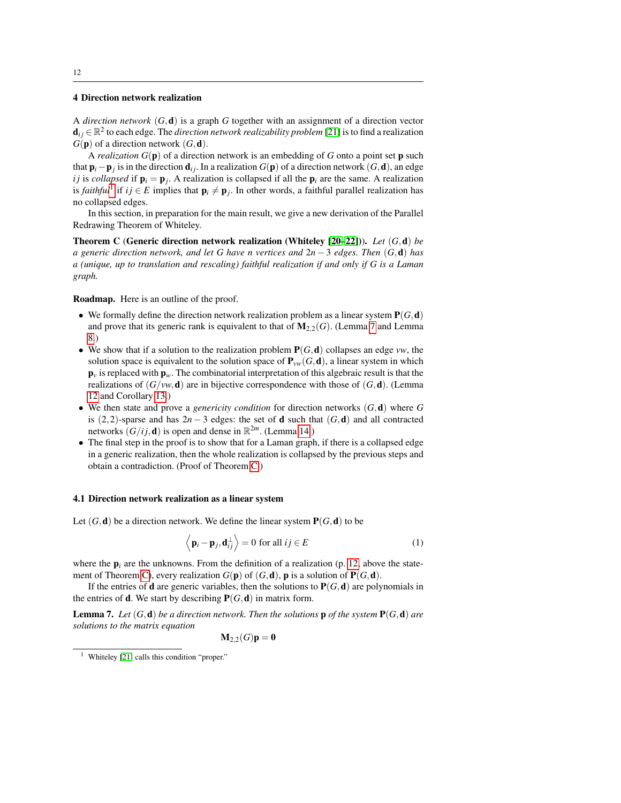#### <span id="page-12-0"></span>4 Direction network realization

A *direction network* (*G*,d) is a graph *G* together with an assignment of a direction vector  $\mathbf{d}_{ij} \in \mathbb{R}^2$  to each edge. The *direction network realizability problem* [\[21\]](#page-24-7) is to find a realization  $G(\mathbf{p})$  of a direction network  $(G, \mathbf{d})$ .

A *realization G*(p) of a direction network is an embedding of *G* onto a point set p such that p*i*−p*<sup>j</sup>* is in the direction d*i j*. In a realization *G*(p) of a direction network (*G*,d), an edge *i j* is *collapsed* if  $\mathbf{p}_i = \mathbf{p}_j$ . A realization is collapsed if all the  $\mathbf{p}_i$  are the same. A realization is *faithful*<sup>[1](#page-12-1)</sup> if  $ij \in E$  implies that  $\mathbf{p}_i \neq \mathbf{p}_j$ . In other words, a faithful parallel realization has no collapsed edges.

In this section, in preparation for the main result, we give a new derivation of the Parallel Redrawing Theorem of Whiteley.

Theorem C (Generic direction network realization (Whiteley [\[20](#page-24-5)[–22\]](#page-24-6))). *Let* (*G*,d) *be a generic direction network, and let G have n vertices and* 2*n* − 3 *edges. Then* (*G*,d) *has a (unique, up to translation and rescaling) faithful realization if and only if G is a Laman graph.*

#### Roadmap. Here is an outline of the proof.

- We formally define the direction network realization problem as a linear system  $P(G, d)$ and prove that its generic rank is equivalent to that of  $M_{2,2}(G)$ . (Lemma [7](#page-12-2) and Lemma [8.](#page-13-0))
- We show that if a solution to the realization problem  $P(G, d)$  collapses an edge *vw*, the solution space is equivalent to the solution space of  $P_{vw}(G, d)$ , a linear system in which  $\mathbf{p}_v$  is replaced with  $\mathbf{p}_w$ . The combinatorial interpretation of this algebraic result is that the realizations of  $(G/w, d)$  are in bijective correspondence with those of  $(G, d)$ . (Lemma [12](#page-14-0) and Corollary [13.](#page-14-1))
- We then state and prove a *genericity condition* for direction networks (*G*,d) where *G* is (2,2)-sparse and has  $2n-3$  edges: the set of **d** such that  $(G, d)$  and all contracted networks  $(G/i, d)$  is open and dense in  $\mathbb{R}^{2m}$ . (Lemma [14.](#page-14-2))
- The final step in the proof is to show that for a Laman graph, if there is a collapsed edge in a generic realization, then the whole realization is collapsed by the previous steps and obtain a contradiction. (Proof of Theorem [C.](#page-3-0))

#### 4.1 Direction network realization as a linear system

Let  $(G, d)$  be a direction network. We define the linear system  $P(G, d)$  to be

<span id="page-12-3"></span>
$$
\left\langle \mathbf{p}_i - \mathbf{p}_j, \mathbf{d}_{ij}^{\perp} \right\rangle = 0 \text{ for all } ij \in E
$$
 (1)

where the  $p_i$  are the unknowns. From the definition of a realization (p. [12,](#page-12-0) above the state-ment of Theorem [C\)](#page-3-0), every realization  $G(\mathbf{p})$  of  $(G, \mathbf{d})$ ,  $\mathbf{p}$  is a solution of  $P(G, \mathbf{d})$ .

If the entries of **d** are generic variables, then the solutions to  $P(G, d)$  are polynomials in the entries of **d**. We start by describing  $P(G, d)$  in matrix form.

<span id="page-12-2"></span>**Lemma 7.** Let  $(G, d)$  be a direction network. Then the solutions **p** of the system  $P(G, d)$  are *solutions to the matrix equation*

 $M_2_2(G)p = 0$ 

<span id="page-12-1"></span><sup>1</sup> Whiteley [\[21\]](#page-24-7) calls this condition "proper."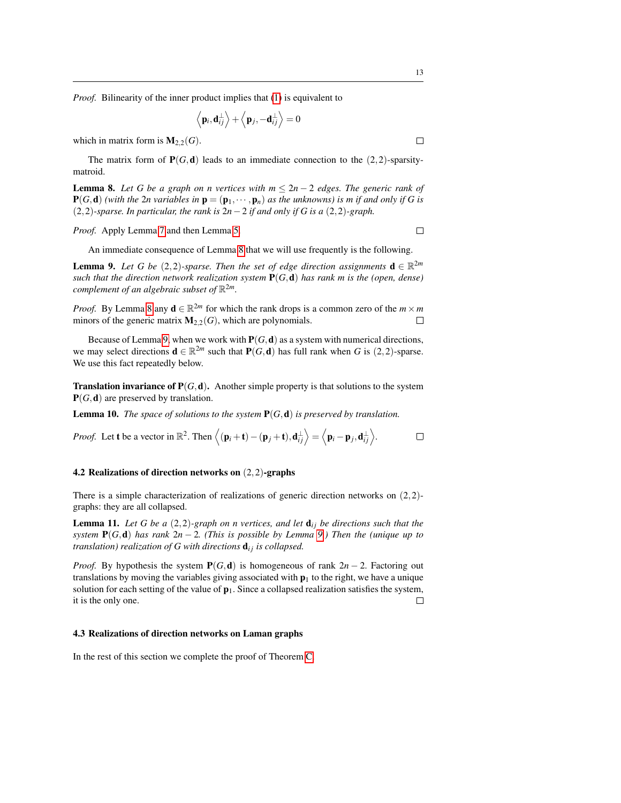*Proof.* Bilinearity of the inner product implies that [\(1\)](#page-12-3) is equivalent to

$$
\left\langle \mathbf{p}_i, \mathbf{d}_{ij}^{\perp} \right\rangle + \left\langle \mathbf{p}_j, -\mathbf{d}_{ij}^{\perp} \right\rangle = 0
$$

which in matrix form is  $M_{2,2}(G)$ .

The matrix form of  $P(G, d)$  leads to an immediate connection to the  $(2, 2)$ -sparsitymatroid.

<span id="page-13-0"></span>**Lemma 8.** Let G be a graph on n vertices with  $m \leq 2n - 2$  edges. The generic rank of  $P(G, d)$  *(with the 2n variables in*  $p = (p_1, \dots, p_n)$  *as the unknowns) is m if and only if G is* (2,2)*-sparse. In particular, the rank is* 2*n*−2 *if and only if G is a* (2,2)*-graph.*

*Proof.* Apply Lemma [7](#page-12-2) and then Lemma [5.](#page-11-1)

An immediate consequence of Lemma [8](#page-13-0) that we will use frequently is the following.

<span id="page-13-1"></span>**Lemma 9.** Let G be (2,2)-sparse. Then the set of edge direction assignments  $\mathbf{d} \in \mathbb{R}^{2m}$ *such that the direction network realization system*  $P(G,d)$  *has rank m is the (open, dense) complement of an algebraic subset of* R <sup>2</sup>*m.*

*Proof.* By Lemma [8](#page-13-0) any  $\mathbf{d} \in \mathbb{R}^{2m}$  for which the rank drops is a common zero of the  $m \times m$ minors of the generic matrix  $M_{2,2}(G)$ , which are polynomials.  $\Box$ 

Because of Lemma [9,](#page-13-1) when we work with  $P(G, d)$  as a system with numerical directions, we may select directions  $\mathbf{d} \in \mathbb{R}^{2m}$  such that  $\mathbf{P}(G, \mathbf{d})$  has full rank when *G* is (2,2)-sparse. We use this fact repeatedly below.

**Translation invariance of**  $P(G, d)$ **.** Another simple property is that solutions to the system  $P(G, d)$  are preserved by translation.

Lemma 10. *The space of solutions to the system* P(*G*,d) *is preserved by translation.*

*Proof.* Let **t** be a vector in 
$$
\mathbb{R}^2
$$
. Then  $\langle (\mathbf{p}_i + \mathbf{t}) - (\mathbf{p}_j + \mathbf{t}), \mathbf{d}_{ij}^{\perp} \rangle = \langle \mathbf{p}_i - \mathbf{p}_j, \mathbf{d}_{ij}^{\perp} \rangle$ .

#### 4.2 Realizations of direction networks on (2,2)-graphs

There is a simple characterization of realizations of generic direction networks on  $(2,2)$ graphs: they are all collapsed.

<span id="page-13-2"></span>**Lemma 11.** Let G be a  $(2,2)$ -graph on n vertices, and let  $\mathbf{d}_{ij}$  be directions such that the *system* P(*G*,d) *has rank* 2*n* − 2*. (This is possible by Lemma [9.](#page-13-1)) Then the (unique up to translation) realization of G with directions*  $\mathbf{d}_{ij}$  *is collapsed.* 

*Proof.* By hypothesis the system  $P(G,d)$  is homogeneous of rank  $2n-2$ . Factoring out translations by moving the variables giving associated with  $\mathbf{p}_1$  to the right, we have a unique solution for each setting of the value of  $\mathbf{p}_1$ . Since a collapsed realization satisfies the system, it is the only one.  $\Box$ 

#### 4.3 Realizations of direction networks on Laman graphs

In the rest of this section we complete the proof of Theorem [C.](#page-3-0)

 $\Box$ 

 $\Box$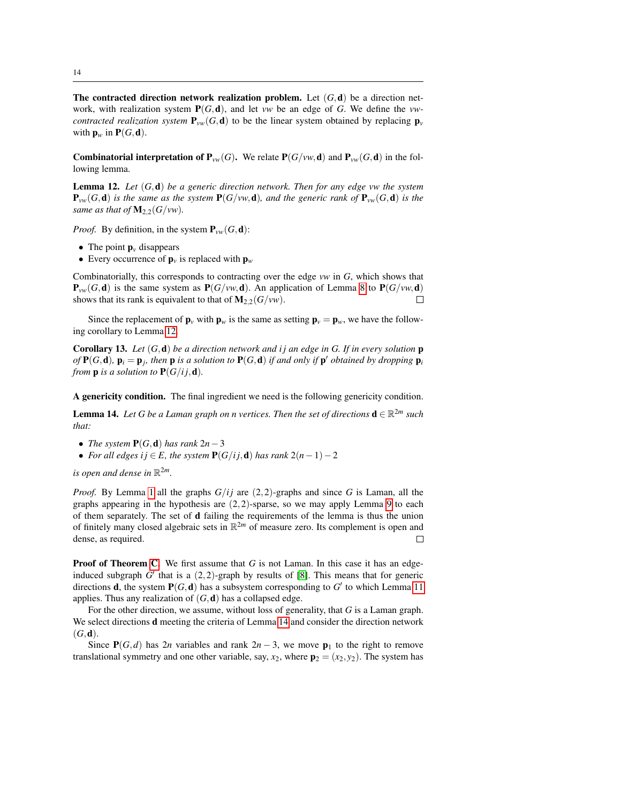The contracted direction network realization problem. Let  $(G, d)$  be a direction network, with realization system  $P(G, d)$ , and let *vw* be an edge of *G*. We define the *vwcontracted realization system*  $P_{vw}(G, d)$  to be the linear system obtained by replacing  $p_v$ with  $\mathbf{p}_w$  in  $\mathbf{P}(G, \mathbf{d})$ .

**Combinatorial interpretation of**  $P_{vw}(G)$ **.** We relate  $P(G/vw, d)$  and  $P_{vw}(G, d)$  in the following lemma.

<span id="page-14-0"></span>Lemma 12. *Let* (*G*,d) *be a generic direction network. Then for any edge vw the system*  ${\bf P}_{vw}(G, d)$  *is the same as the system*  ${\bf P}(G/vw, d)$ *, and the generic rank of*  ${\bf P}_{vw}(G, d)$  *is the same as that of*  $M_{2,2}(G/vw)$ .

*Proof.* By definition, in the system  $P_{vw}(G, d)$ :

- The point  $\mathbf{p}_v$  disappears
- Every occurrence of  $\mathbf{p}_v$  is replaced with  $\mathbf{p}_w$

Combinatorially, this corresponds to contracting over the edge *vw* in *G*, which shows that  ${\bf P}_{\nu\nu}(G, {\bf d})$  is the same system as  ${\bf P}(G/\nu w, {\bf d})$ . An application of Lemma [8](#page-13-0) to  ${\bf P}(G/\nu w, {\bf d})$ shows that its rank is equivalent to that of  $\mathbf{M}_{2,2}(G/\mathbf{v}w)$ . П

Since the replacement of  $\mathbf{p}_v$  with  $\mathbf{p}_w$  is the same as setting  $\mathbf{p}_v = \mathbf{p}_w$ , we have the following corollary to Lemma [12.](#page-14-0)

<span id="page-14-1"></span>**Corollary 13.** Let  $(G, d)$  be a direction network and ij an edge in G. If in every solution  $p$ *of*  $P(G, d)$ ,  $p_i = p_j$ , then  $p$  *is a solution to*  $P(G, d)$  *if and only if*  $p'$  *obtained by dropping*  $p_i$ *from* **p** *is a solution to*  $P(G/i, d)$ *.* 

A genericity condition. The final ingredient we need is the following genericity condition.

<span id="page-14-2"></span>**Lemma 14.** Let G be a Laman graph on n vertices. Then the set of directions  $\mathbf{d} \in \mathbb{R}^{2m}$  such *that:*

- *The system*  $P(G, d)$  *has rank*  $2n-3$
- *For all edges i*  $j \in E$ *, the system*  $P(G/ij, d)$  *has rank*  $2(n-1)-2$

*is open and dense in* R <sup>2</sup>*m.*

*Proof.* By Lemma [1](#page-7-1) all the graphs  $G/i$  are  $(2,2)$ -graphs and since G is Laman, all the graphs appearing in the hypothesis are  $(2,2)$ -sparse, so we may apply Lemma [9](#page-13-1) to each of them separately. The set of d failing the requirements of the lemma is thus the union of finitely many closed algebraic sets in  $\mathbb{R}^{2m}$  of measure zero. Its complement is open and dense, as required.  $\Box$ 

Proof of Theorem [C.](#page-3-0) We first assume that *G* is not Laman. In this case it has an edgeinduced subgraph  $G'$  that is a  $(2,2)$ -graph by results of [\[8\]](#page-23-1). This means that for generic directions **d**, the system  $P(G, d)$  has a subsystem corresponding to  $G'$  to which Lemma [11](#page-13-2) applies. Thus any realization of  $(G, d)$  has a collapsed edge.

For the other direction, we assume, without loss of generality, that *G* is a Laman graph. We select directions d meeting the criteria of Lemma [14](#page-14-2) and consider the direction network  $(G, d)$ .

Since  $P(G,d)$  has 2*n* variables and rank 2*n* − 3, we move  $p_1$  to the right to remove translational symmetry and one other variable, say,  $x_2$ , where  $\mathbf{p}_2 = (x_2, y_2)$ . The system has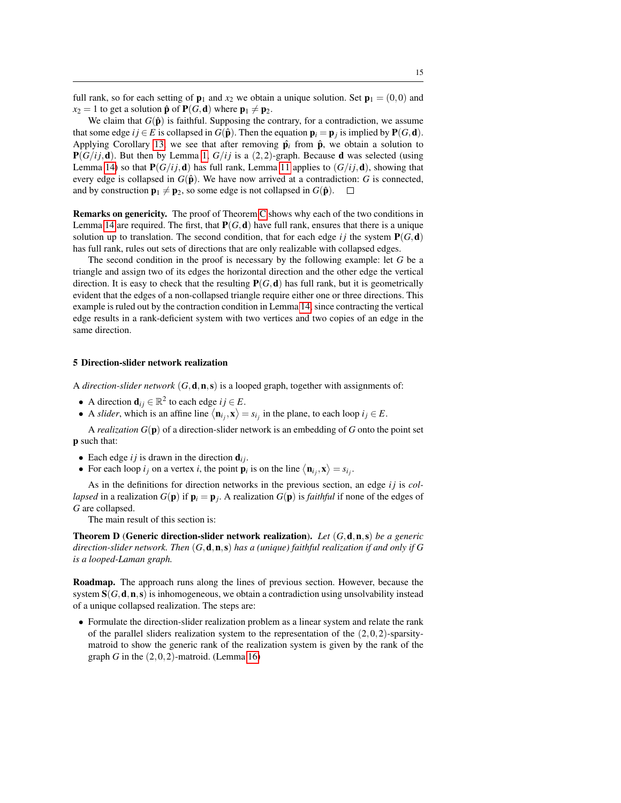full rank, so for each setting of  $\mathbf{p}_1$  and  $x_2$  we obtain a unique solution. Set  $\mathbf{p}_1 = (0,0)$  and  $x_2 = 1$  to get a solution  $\hat{\mathbf{p}}$  of  $\mathbf{P}(G, \mathbf{d})$  where  $\mathbf{p}_1 \neq \mathbf{p}_2$ .

We claim that  $G(\hat{\bf{p}})$  is faithful. Supposing the contrary, for a contradiction, we assume that some edge *i j* ∈ *E* is collapsed in *G*( $\hat{\bf{p}}$ ). Then the equation  ${\bf p}_i = {\bf p}_j$  is implied by  ${\bf P}(G, {\bf d})$ . Applying Corollary [13,](#page-14-1) we see that after removing  $\hat{\mathbf{p}}_i$  from  $\hat{\mathbf{p}}_i$ , we obtain a solution to  $P(G/i; d)$ . But then by Lemma [1,](#page-7-1)  $G/ij$  is a (2,2)-graph. Because d was selected (using Lemma [14\)](#page-14-2) so that  $P(G/i; d)$  has full rank, Lemma [11](#page-13-2) applies to  $(G/i; d)$ , showing that every edge is collapsed in  $G(\hat{\mathbf{p}})$ . We have now arrived at a contradiction: *G* is connected, and by construction  $\mathbf{p}_1 \neq \mathbf{p}_2$ , so some edge is not collapsed in  $G(\hat{\mathbf{p}})$ .  $\Box$ 

Remarks on genericity. The proof of Theorem [C](#page-3-0) shows why each of the two conditions in Lemma [14](#page-14-2) are required. The first, that  $P(G, d)$  have full rank, ensures that there is a unique solution up to translation. The second condition, that for each edge *i* j the system  $P(G, d)$ has full rank, rules out sets of directions that are only realizable with collapsed edges.

The second condition in the proof is necessary by the following example: let *G* be a triangle and assign two of its edges the horizontal direction and the other edge the vertical direction. It is easy to check that the resulting  $P(G, d)$  has full rank, but it is geometrically evident that the edges of a non-collapsed triangle require either one or three directions. This example is ruled out by the contraction condition in Lemma [14,](#page-14-2) since contracting the vertical edge results in a rank-deficient system with two vertices and two copies of an edge in the same direction.

#### <span id="page-15-0"></span>5 Direction-slider network realization

A *direction-slider network* (*G*,d,n,s) is a looped graph, together with assignments of:

- A direction  $\mathbf{d}_{ij} \in \mathbb{R}^2$  to each edge  $ij \in E$ .
- A *slider*, which is an affine line  $\langle \mathbf{n}_{i_j}, \mathbf{x} \rangle = s_{i_j}$  in the plane, to each loop  $i_j \in E$ .

A *realization G*(p) of a direction-slider network is an embedding of *G* onto the point set p such that:

- Each edge  $ij$  is drawn in the direction  $\mathbf{d}_{ij}$ .
- For each loop  $i_j$  on a vertex  $i$ , the point  $\mathbf{p}_i$  is on the line  $\langle \mathbf{n}_{i_j}, \mathbf{x} \rangle = s_{i_j}$ .

As in the definitions for direction networks in the previous section, an edge *ij* is *collapsed* in a realization  $G(\mathbf{p})$  if  $\mathbf{p}_i = \mathbf{p}_j$ . A realization  $G(\mathbf{p})$  is *faithful* if none of the edges of *G* are collapsed.

The main result of this section is:

Theorem D (Generic direction-slider network realization). *Let* (*G*,d,n,s) *be a generic direction-slider network. Then* (*G*,d,n,s) *has a (unique) faithful realization if and only if G is a looped-Laman graph.*

Roadmap. The approach runs along the lines of previous section. However, because the system  $S(G, d, n, s)$  is inhomogeneous, we obtain a contradiction using unsolvability instead of a unique collapsed realization. The steps are:

• Formulate the direction-slider realization problem as a linear system and relate the rank of the parallel sliders realization system to the representation of the  $(2,0,2)$ -sparsitymatroid to show the generic rank of the realization system is given by the rank of the graph *G* in the (2,0,2)-matroid. (Lemma [16\)](#page-16-0)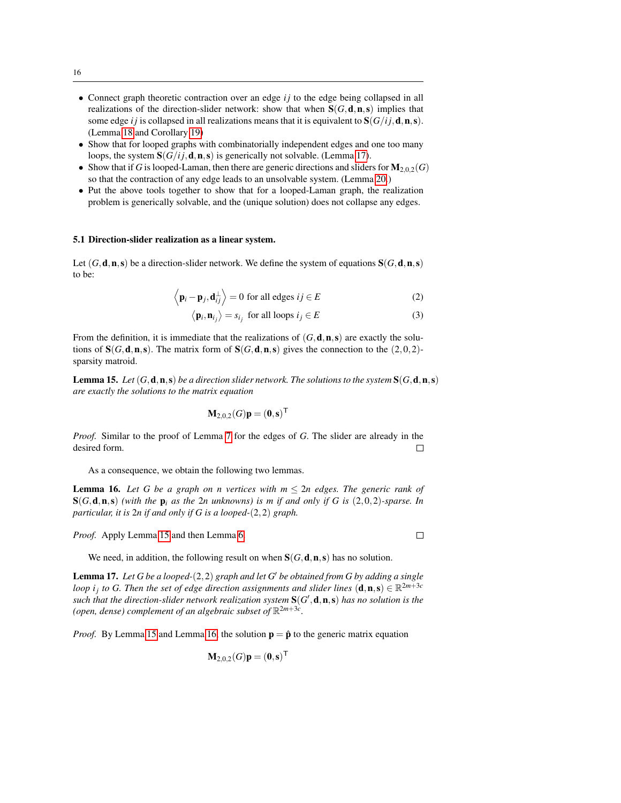- Connect graph theoretic contraction over an edge *ij* to the edge being collapsed in all realizations of the direction-slider network: show that when  $S(G, d, n, s)$  implies that some edge *i j* is collapsed in all realizations means that it is equivalent to  $S(G/i; d, n, s)$ . (Lemma [18](#page-17-0) and Corollary [19\)](#page-17-1)
- Show that for looped graphs with combinatorially independent edges and one too many loops, the system  $S(G/i, d, n, s)$  is generically not solvable. (Lemma [17\)](#page-16-1).
- Show that if *G* is looped-Laman, then there are generic directions and sliders for  $M_{2,0,2}(G)$ so that the contraction of any edge leads to an unsolvable system. (Lemma [20.](#page-17-2))
- Put the above tools together to show that for a looped-Laman graph, the realization problem is generically solvable, and the (unique solution) does not collapse any edges.

#### 5.1 Direction-slider realization as a linear system.

Let  $(G, \mathbf{d}, \mathbf{n}, \mathbf{s})$  be a direction-slider network. We define the system of equations  $S(G, \mathbf{d}, \mathbf{n}, \mathbf{s})$ to be:

$$
\langle \mathbf{p}_i - \mathbf{p}_j, \mathbf{d}_{ij}^{\perp} \rangle = 0
$$
 for all edges  $ij \in E$  (2)

$$
\langle \mathbf{p}_i, \mathbf{n}_{i_j} \rangle = s_{i_j}
$$
 for all loops  $i_j \in E$  (3)

From the definition, it is immediate that the realizations of  $(G, \mathbf{d}, \mathbf{n}, \mathbf{s})$  are exactly the solutions of  $S(G, d, n, s)$ . The matrix form of  $S(G, d, n, s)$  gives the connection to the  $(2, 0, 2)$ sparsity matroid.

<span id="page-16-2"></span>**Lemma 15.** Let  $(G, \mathbf{d}, \mathbf{n}, \mathbf{s})$  *be a direction slider network. The solutions to the system*  $S(G, \mathbf{d}, \mathbf{n}, \mathbf{s})$ *are exactly the solutions to the matrix equation*

$$
\mathbf{M}_{2,0,2}(G)\mathbf{p}=(\mathbf{0},\mathbf{s})^{\mathsf{T}}
$$

*Proof.* Similar to the proof of Lemma [7](#page-12-2) for the edges of *G*. The slider are already in the desired form.  $\Box$ 

As a consequence, we obtain the following two lemmas.

<span id="page-16-0"></span>**Lemma 16.** Let G be a graph on n vertices with  $m \leq 2n$  edges. The generic rank of S(*G*,d,n,s) *(with the* p*<sup>i</sup> as the* 2*n unknowns) is m if and only if G is* (2,0,2)*-sparse. In particular, it is* 2*n if and only if G is a looped-*(2,2) *graph.*

*Proof.* Apply Lemma [15](#page-16-2) and then Lemma [6.](#page-11-2)

 $\Box$ 

We need, in addition, the following result on when  $S(G, d, n, s)$  has no solution.

<span id="page-16-1"></span>**Lemma 17.** Let G be a looped- $(2,2)$  graph and let G' be obtained from G by adding a single *loop i<sub>j</sub>* to G. Then the set of edge direction assignments and slider lines  $(d, n, s) \in \mathbb{R}^{2m+3c}$ such that the direction-slider network realization system  $S(G', d, n, s)$  has no solution is the (open, dense) complement of an algebraic subset of  $\mathbb{R}^{2m+3c}$ .

*Proof.* By Lemma [15](#page-16-2) and Lemma [16,](#page-16-0) the solution  $p = \hat{p}$  to the generic matrix equation

$$
\mathbf{M}_{2,0,2}(G)\mathbf{p}=(\mathbf{0},\mathbf{s})^{\mathsf{T}}
$$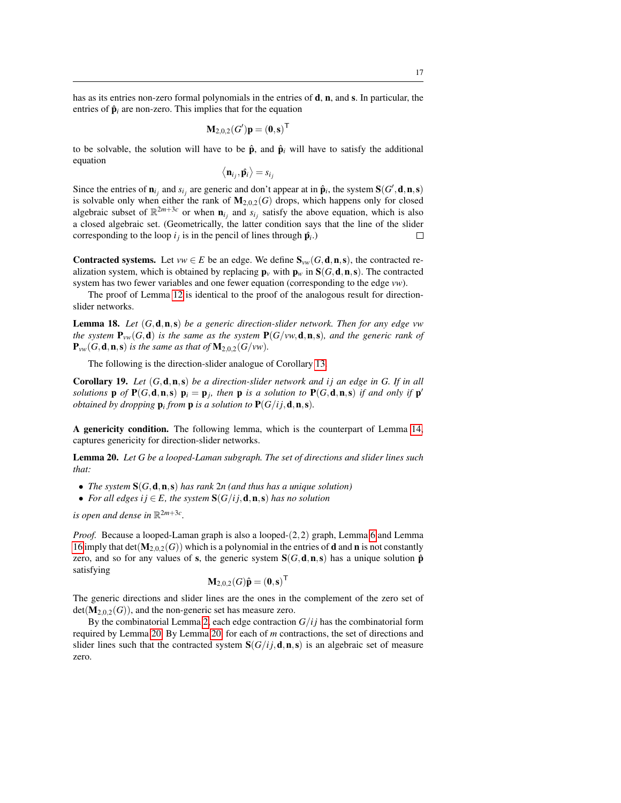has as its entries non-zero formal polynomials in the entries of **d**, **n**, and **s**. In particular, the entries of  $\hat{\mathbf{p}}_i$  are non-zero. This implies that for the equation

$$
\mathbf{M}_{2,0,2}(G')\mathbf{p}=(\mathbf{0},\mathbf{s})^{\mathsf{T}}
$$

to be solvable, the solution will have to be  $\hat{\mathbf{p}}$ , and  $\hat{\mathbf{p}}_i$  will have to satisfy the additional equation

$$
\left\langle \mathbf{n}_{i_j}, \hat{\mathbf{p}}_i \right\rangle = s_{i_j}
$$

Since the entries of  $\mathbf{n}_{i_j}$  and  $s_{i_j}$  are generic and don't appear at in  $\hat{\mathbf{p}}_i$ , the system  $\mathbf{S}(G', \mathbf{d}, \mathbf{n}, \mathbf{s})$ is solvable only when either the rank of  $M_{2,0,2}(G)$  drops, which happens only for closed algebraic subset of  $\mathbb{R}^{2m+3c}$  or when  $\mathbf{n}_{i_j}$  and  $s_{i_j}$  satisfy the above equation, which is also a closed algebraic set. (Geometrically, the latter condition says that the line of the slider corresponding to the loop  $i_j$  is in the pencil of lines through  $\hat{p}_i$ .)  $\Box$ 

Contracted systems. Let  $vw \in E$  be an edge. We define  $S_{vw}(G, d, n, s)$ , the contracted realization system, which is obtained by replacing  $\mathbf{p}_v$  with  $\mathbf{p}_w$  in  $\mathbf{S}(G, \mathbf{d}, \mathbf{n}, \mathbf{s})$ . The contracted system has two fewer variables and one fewer equation (corresponding to the edge *vw*).

The proof of Lemma [12](#page-14-0) is identical to the proof of the analogous result for directionslider networks.

<span id="page-17-0"></span>Lemma 18. *Let* (*G*,d,n,s) *be a generic direction-slider network. Then for any edge vw the system*  $P_{vw}(G, d)$  *is the same as the system*  $P(G/vw, d, n, s)$ *, and the generic rank of*  ${\bf P}_{vw}(G, {\bf d}, {\bf n}, {\bf s})$  *is the same as that of*  ${\bf M}_{2,0,2}(G/vw)$ *.* 

The following is the direction-slider analogue of Corollary [13.](#page-14-1)

<span id="page-17-1"></span>Corollary 19. *Let* (*G*,d,n,s) *be a direction-slider network and i j an edge in G. If in all solutions* **p** *of*  $P(G, d, n, s)$   $p_i = p_j$ , then **p** *is a solution to*  $P(G, d, n, s)$  *if and only if*  $p'$ *obtained by dropping*  $\mathbf{p}_i$  *from*  $\mathbf{p}$  *is a solution to*  $\mathbf{P}(G/ij, \mathbf{d}, \mathbf{n}, \mathbf{s})$ *.* 

A genericity condition. The following lemma, which is the counterpart of Lemma [14,](#page-14-2) captures genericity for direction-slider networks.

<span id="page-17-2"></span>Lemma 20. *Let G be a looped-Laman subgraph. The set of directions and slider lines such that:*

- *The system* S(*G*,d,n,s) *has rank* 2*n (and thus has a unique solution)*
- For all edges  $i j \in E$ , the system  $S(G/i j, d, n, s)$  has no solution

*is open and dense in*  $\mathbb{R}^{2m+3c}$ *.* 

*Proof.* Because a looped-Laman graph is also a looped-(2,2) graph, Lemma [6](#page-11-2) and Lemma [16](#page-16-0) imply that  $det(\mathbf{M}_{2,0,2}(G))$  which is a polynomial in the entries of **d** and **n** is not constantly zero, and so for any values of s, the generic system  $S(G, d, n, s)$  has a unique solution  $\hat{p}$ satisfying

$$
\mathbf{M}_{2,0,2}(G)\hat{\mathbf{p}}=(\mathbf{0},\mathbf{s})^{\mathsf{T}}
$$

The generic directions and slider lines are the ones in the complement of the zero set of  $det(\mathbf{M}_{2,0,2}(G))$ , and the non-generic set has measure zero.

By the combinatorial Lemma [2,](#page-8-1) each edge contraction  $G/ij$  has the combinatorial form required by Lemma [20.](#page-17-2) By Lemma [20,](#page-17-2) for each of *m* contractions, the set of directions and slider lines such that the contracted system  $S(G/i; d, n, s)$  is an algebraic set of measure zero.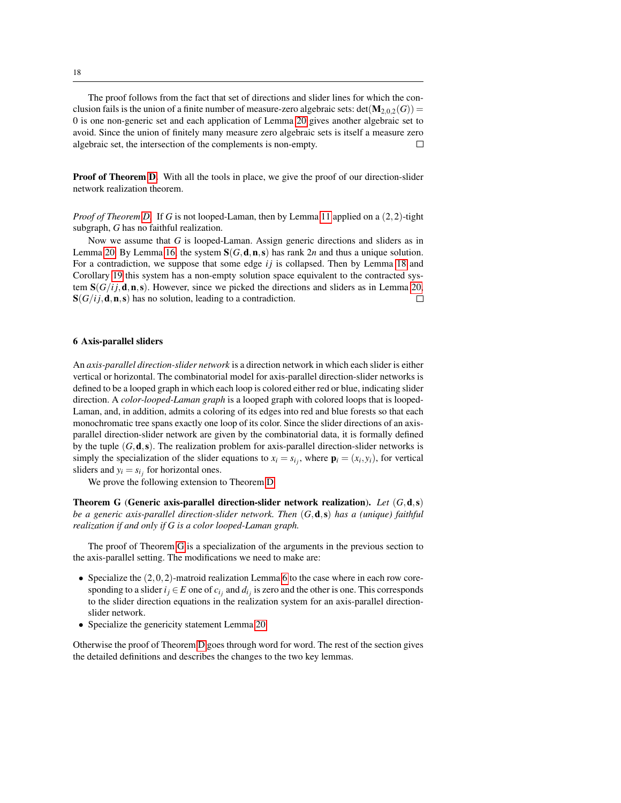The proof follows from the fact that set of directions and slider lines for which the conclusion fails is the union of a finite number of measure-zero algebraic sets:  $det(\mathbf{M}_{2,0,2}(G))$  = 0 is one non-generic set and each application of Lemma [20](#page-17-2) gives another algebraic set to avoid. Since the union of finitely many measure zero algebraic sets is itself a measure zero algebraic set, the intersection of the complements is non-empty. П

**Proof of Theorem [D.](#page-3-1)** With all the tools in place, we give the proof of our direction-slider network realization theorem.

*Proof of Theorem [D.](#page-3-1)* If *G* is not looped-Laman, then by Lemma [11](#page-13-2) applied on a (2,2)-tight subgraph, *G* has no faithful realization.

Now we assume that *G* is looped-Laman. Assign generic directions and sliders as in Lemma [20.](#page-17-2) By Lemma [16,](#page-16-0) the system  $S(G, d, n, s)$  has rank 2*n* and thus a unique solution. For a contradiction, we suppose that some edge *ij* is collapsed. Then by Lemma [18](#page-17-0) and Corollary [19](#page-17-1) this system has a non-empty solution space equivalent to the contracted system  $S(G/i, d, n, s)$ . However, since we picked the directions and sliders as in Lemma [20,](#page-17-2)  $S(G/i, d, n, s)$  has no solution, leading to a contradiction.  $\Box$ 

#### <span id="page-18-0"></span>6 Axis-parallel sliders

An *axis-parallel direction-slider network* is a direction network in which each slider is either vertical or horizontal. The combinatorial model for axis-parallel direction-slider networks is defined to be a looped graph in which each loop is colored either red or blue, indicating slider direction. A *color-looped-Laman graph* is a looped graph with colored loops that is looped-Laman, and, in addition, admits a coloring of its edges into red and blue forests so that each monochromatic tree spans exactly one loop of its color. Since the slider directions of an axisparallel direction-slider network are given by the combinatorial data, it is formally defined by the tuple  $(G, \mathbf{d}, \mathbf{s})$ . The realization problem for axis-parallel direction-slider networks is simply the specialization of the slider equations to  $x_i = s_{i_j}$ , where  $\mathbf{p}_i = (x_i, y_i)$ , for vertical sliders and  $y_i = s_{i_j}$  for horizontal ones.

We prove the following extension to Theorem [D.](#page-3-1)

<span id="page-18-1"></span>Theorem G (Generic axis-parallel direction-slider network realization). *Let* (*G*,d,s) *be a generic axis-parallel direction-slider network. Then* (*G*,d,s) *has a (unique) faithful realization if and only if G is a color looped-Laman graph.*

The proof of Theorem [G](#page-18-1) is a specialization of the arguments in the previous section to the axis-parallel setting. The modifications we need to make are:

- Specialize the  $(2,0,2)$ -matroid realization Lemma [6](#page-11-2) to the case where in each row coresponding to a slider  $i_j \in E$  one of  $c_{i_j}$  and  $d_{i_j}$  is zero and the other is one. This corresponds to the slider direction equations in the realization system for an axis-parallel directionslider network.
- Specialize the genericity statement Lemma [20](#page-17-2)

Otherwise the proof of Theorem [D](#page-3-1) goes through word for word. The rest of the section gives the detailed definitions and describes the changes to the two key lemmas.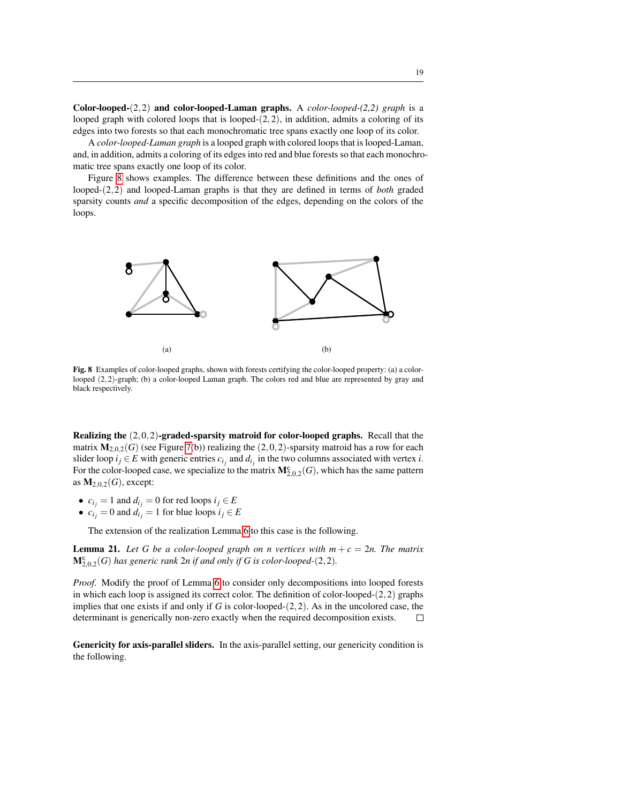Color-looped-(2,2) and color-looped-Laman graphs. A *color-looped-(2,2) graph* is a looped graph with colored loops that is looped- $(2,2)$ , in addition, admits a coloring of its edges into two forests so that each monochromatic tree spans exactly one loop of its color.

A *color-looped-Laman graph* is a looped graph with colored loops that is looped-Laman, and, in addition, admits a coloring of its edges into red and blue forests so that each monochromatic tree spans exactly one loop of its color.

Figure [8](#page-19-0) shows examples. The difference between these definitions and the ones of looped-(2,2) and looped-Laman graphs is that they are defined in terms of *both* graded sparsity counts *and* a specific decomposition of the edges, depending on the colors of the loops.



<span id="page-19-0"></span>Fig. 8 Examples of color-looped graphs, shown with forests certifying the color-looped property: (a) a colorlooped (2,2)-graph; (b) a color-looped Laman graph. The colors red and blue are represented by gray and black respectively.

Realizing the (2,0,2)-graded-sparsity matroid for color-looped graphs. Recall that the matrix  $M_{2,0,2}(G)$  (see Figure [7\(](#page-11-0)b)) realizing the (2,0,2)-sparsity matroid has a row for each slider loop  $i_j \in E$  with generic entries  $c_{i_j}$  and  $d_{i_j}$  in the two columns associated with vertex *i*. For the color-looped case, we specialize to the matrix  $M_{2,0,2}^{\mathsf{c}}(G)$ , which has the same pattern as  $M_{2,0,2}(G)$ , except:

- $c_{i_j} = 1$  and  $d_{i_j} = 0$  for red loops  $i_j \in E$
- $c_i$ <sup>*j*</sup> = 0 and  $d_i$ <sup>*j*</sup> = 1 for blue loops  $i_j \in E$

The extension of the realization Lemma [6](#page-11-2) to this case is the following.

<span id="page-19-1"></span>**Lemma 21.** Let G be a color-looped graph on n vertices with  $m + c = 2n$ . The matrix  $M_{2,0,2}^{\mathsf{c}}(G)$  has generic rank  $2n$  if and only if G is color-looped- $(2,2)$ .

*Proof.* Modify the proof of Lemma [6](#page-11-2) to consider only decompositions into looped forests in which each loop is assigned its correct color. The definition of color-looped- $(2,2)$  graphs implies that one exists if and only if *G* is color-looped-(2,2). As in the uncolored case, the determinant is generically non-zero exactly when the required decomposition exists. П

Genericity for axis-parallel sliders. In the axis-parallel setting, our genericity condition is the following.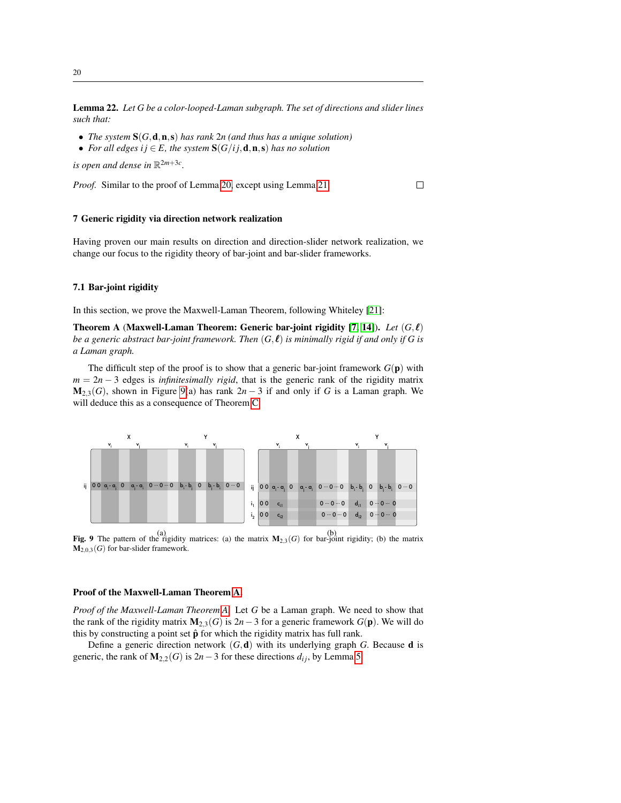Lemma 22. *Let G be a color-looped-Laman subgraph. The set of directions and slider lines such that:*

- *The system* S(*G*,d,n,s) *has rank* 2*n (and thus has a unique solution)*
- *For all edges i*  $j \in E$ *, the system*  $S(G/i; d, n, s)$  *has no solution*

is open and dense in  $\mathbb{R}^{2m+3c}$ .

*Proof.* Similar to the proof of Lemma [20,](#page-17-2) except using Lemma [21.](#page-19-1)

#### $\Box$

#### <span id="page-20-0"></span>7 Generic rigidity via direction network realization

Having proven our main results on direction and direction-slider network realization, we change our focus to the rigidity theory of bar-joint and bar-slider frameworks.

#### 7.1 Bar-joint rigidity

In this section, we prove the Maxwell-Laman Theorem, following Whiteley [\[21\]](#page-24-7):

Theorem A (Maxwell-Laman Theorem: Generic bar-joint rigidity  $[7, 14]$  $[7, 14]$ ). *Let*  $(G, \ell)$ *be a generic abstract bar-joint framework. Then*  $(G, \ell)$  *is minimally rigid if and only if G is a Laman graph.*

The difficult step of the proof is to show that a generic bar-joint framework  $G(\mathbf{p})$  with  $m = 2n - 3$  edges is *infinitesimally rigid*, that is the generic rank of the rigidity matrix  $M_{2,3}(G)$ , shown in Figure [9\(](#page-20-1)a) has rank  $2n-3$  if and only if *G* is a Laman graph. We will deduce this as a consequence of Theorem [C.](#page-3-0)



<span id="page-20-1"></span>**Fig. 9** The pattern of the rigidity matrices: (a) the matrix  $M_{2,3}(G)$  for bar-joint rigidity; (b) the matrix  $M_{2,0,3}(G)$  for bar-slider framework.

#### Proof of the Maxwell-Laman Theorem [A.](#page-2-0)

*Proof of the Maxwell-Laman Theorem [A.](#page-2-0)* Let *G* be a Laman graph. We need to show that the rank of the rigidity matrix  $M_{2,3}(G)$  is 2*n*−3 for a generic framework  $G(\mathbf{p})$ . We will do this by constructing a point set  $\hat{p}$  for which the rigidity matrix has full rank.

Define a generic direction network  $(G, \mathbf{d})$  with its underlying graph *G*. Because **d** is generic, the rank of  $M_{2,2}(G)$  is 2*n*−3 for these directions  $d_{ij}$ , by Lemma [5.](#page-11-1)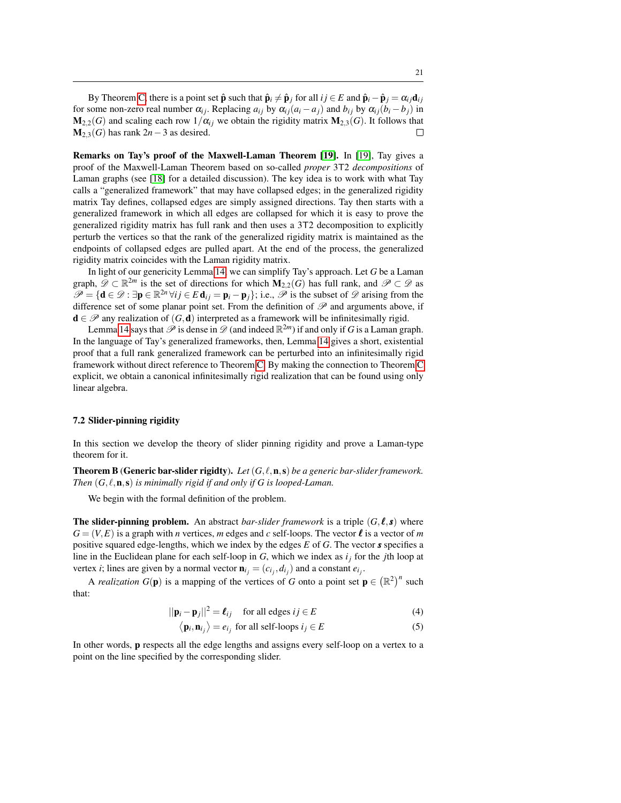By Theorem [C,](#page-3-0) there is a point set  $\hat{\mathbf{p}}$  such that  $\hat{\mathbf{p}}_i \neq \hat{\mathbf{p}}_j$  for all  $ij \in E$  and  $\hat{\mathbf{p}}_i - \hat{\mathbf{p}}_j = \alpha_{ij} \mathbf{d}_{ij}$ for some non-zero real number  $\alpha_{ij}$ . Replacing  $a_{ij}$  by  $\alpha_{ij}(a_i - a_j)$  and  $b_{ij}$  by  $\alpha_{ij}(b_i - b_j)$  in  $M_{2,2}(G)$  and scaling each row  $1/\alpha_{ij}$  we obtain the rigidity matrix  $M_{2,3}(G)$ . It follows that  $M_{2,3}(G)$  has rank  $2n-3$  as desired. П

Remarks on Tay's proof of the Maxwell-Laman Theorem [\[19\]](#page-24-13). In [\[19\]](#page-24-13), Tay gives a proof of the Maxwell-Laman Theorem based on so-called *proper* 3T2 *decompositions* of Laman graphs (see [\[18\]](#page-24-12) for a detailed discussion). The key idea is to work with what Tay calls a "generalized framework" that may have collapsed edges; in the generalized rigidity matrix Tay defines, collapsed edges are simply assigned directions. Tay then starts with a generalized framework in which all edges are collapsed for which it is easy to prove the generalized rigidity matrix has full rank and then uses a 3T2 decomposition to explicitly perturb the vertices so that the rank of the generalized rigidity matrix is maintained as the endpoints of collapsed edges are pulled apart. At the end of the process, the generalized rigidity matrix coincides with the Laman rigidity matrix.

In light of our genericity Lemma [14,](#page-14-2) we can simplify Tay's approach. Let *G* be a Laman graph,  $\mathscr{D} \subset \mathbb{R}^{2m}$  is the set of directions for which  $M_{2,2}(G)$  has full rank, and  $\mathscr{P} \subset \mathscr{D}$  as  $\mathscr{P} = \{ \mathbf{d} \in \mathscr{D} : \exists \mathbf{p} \in \mathbb{R}^{2n} \forall ij \in E \mathbf{d}_{ij} = \mathbf{p}_i - \mathbf{p}_j \};$  i.e.,  $\mathscr{P}$  is the subset of  $\mathscr{D}$  arising from the difference set of some planar point set. From the definition of  $\mathscr P$  and arguments above, if  $d \in \mathscr{P}$  any realization of  $(G, d)$  interpreted as a framework will be infinitesimally rigid.

Lemma [14](#page-14-2) says that  $\mathscr P$  is dense in  $\mathscr D$  (and indeed  $\mathbb R^{2m}$ ) if and only if *G* is a Laman graph. In the language of Tay's generalized frameworks, then, Lemma [14](#page-14-2) gives a short, existential proof that a full rank generalized framework can be perturbed into an infinitesimally rigid framework without direct reference to Theorem [C.](#page-3-0) By making the connection to Theorem [C](#page-3-0) explicit, we obtain a canonical infinitesimally rigid realization that can be found using only linear algebra.

#### 7.2 Slider-pinning rigidity

In this section we develop the theory of slider pinning rigidity and prove a Laman-type theorem for it.

**Theorem B (Generic bar-slider rigidty).** Let  $(G, \ell, n, s)$  be a generic bar-slider framework. *Then*  $(G, \ell, n, s)$  *is minimally rigid if and only if G is looped-Laman.* 

We begin with the formal definition of the problem.

**The slider-pinning problem.** An abstract *bar-slider framework* is a triple  $(G, \ell, s)$  where  $G = (V, E)$  is a graph with *n* vertices, *m* edges and *c* self-loops. The vector  $\ell$  is a vector of *m* positive squared edge-lengths, which we index by the edges *E* of *G*. The vector *s* specifies a line in the Euclidean plane for each self-loop in *G*, which we index as *i<sup>j</sup>* for the *j*th loop at vertex *i*; lines are given by a normal vector  $\mathbf{n}_{i_j} = (c_{i_j}, d_{i_j})$  and a constant  $e_{i_j}$ .

A *realization*  $G(\mathbf{p})$  is a mapping of the vertices of *G* onto a point set  $\mathbf{p} \in (\mathbb{R}^2)^n$  such that:

<span id="page-21-0"></span>
$$
||\mathbf{p}_i - \mathbf{p}_j||^2 = \boldsymbol{\ell}_{ij} \quad \text{for all edges } ij \in E
$$
 (4)

$$
\langle \mathbf{p}_i, \mathbf{n}_{i_j} \rangle = e_{i_j}
$$
 for all self-loops  $i_j \in E$  (5)

In other words, p respects all the edge lengths and assigns every self-loop on a vertex to a point on the line specified by the corresponding slider.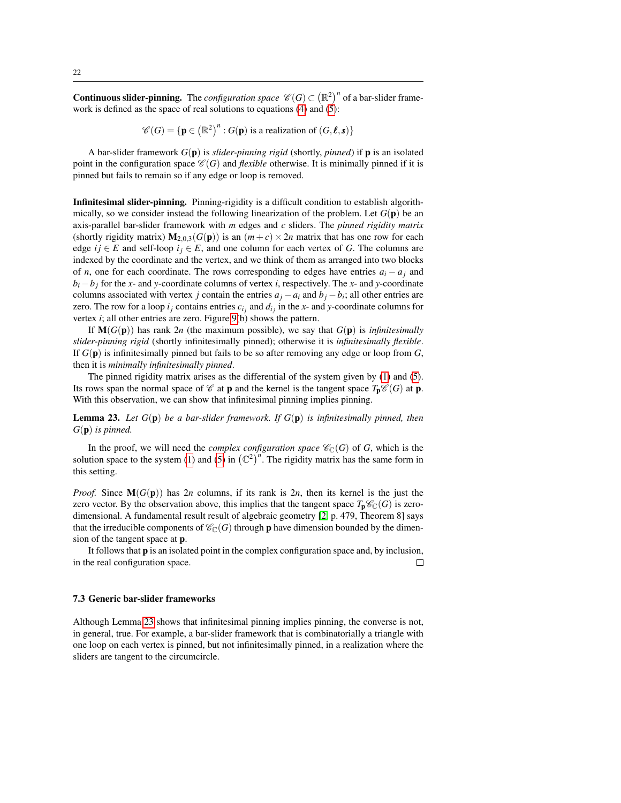**Continuous slider-pinning.** The *configuration space*  $\mathscr{C}(G) \subset (\mathbb{R}^2)^n$  of a bar-slider framework is defined as the space of real solutions to equations [\(4\)](#page-21-0) and [\(5\)](#page-21-0):

$$
\mathscr{C}(G) = \{ \mathbf{p} \in (\mathbb{R}^2)^n : G(\mathbf{p}) \text{ is a realization of } (G, \ell, \mathbf{s}) \}
$$

A bar-slider framework *G*(p) is *slider-pinning rigid* (shortly, *pinned*) if p is an isolated point in the configuration space  $\mathcal{C}(G)$  and *flexible* otherwise. It is minimally pinned if it is pinned but fails to remain so if any edge or loop is removed.

Infinitesimal slider-pinning. Pinning-rigidity is a difficult condition to establish algorithmically, so we consider instead the following linearization of the problem. Let *G*(p) be an axis-parallel bar-slider framework with *m* edges and *c* sliders. The *pinned rigidity matrix* (shortly rigidity matrix)  $M_{2,0,3}(G(p))$  is an  $(m+c) \times 2n$  matrix that has one row for each edge  $i j \in E$  and self-loop  $i j \in E$ , and one column for each vertex of *G*. The columns are indexed by the coordinate and the vertex, and we think of them as arranged into two blocks of *n*, one for each coordinate. The rows corresponding to edges have entries  $a_i - a_j$  and  $b_i - b_j$  for the *x*- and *y*-coordinate columns of vertex *i*, respectively. The *x*- and *y*-coordinate columns associated with vertex *j* contain the entries  $a_j - a_i$  and  $b_j - b_i$ ; all other entries are zero. The row for a loop  $i_j$  contains entries  $c_{i_j}$  and  $d_{i_j}$  in the *x*- and *y*-coordinate columns for vertex *i*; all other entries are zero. Figure [9\(](#page-20-1)b) shows the pattern.

If  $M(G(p))$  has rank 2*n* (the maximum possible), we say that  $G(p)$  is *infinitesimally slider-pinning rigid* (shortly infinitesimally pinned); otherwise it is *infinitesimally flexible*. If *G*(p) is infinitesimally pinned but fails to be so after removing any edge or loop from *G*, then it is *minimally infinitesimally pinned*.

The pinned rigidity matrix arises as the differential of the system given by [\(1\)](#page-12-3) and [\(5\)](#page-21-0). Its rows span the normal space of  $\mathcal C$  at **p** and the kernel is the tangent space  $T_p\mathcal C(G)$  at **p**. With this observation, we can show that infinitesimal pinning implies pinning.

<span id="page-22-0"></span>Lemma 23. *Let G*(p) *be a bar-slider framework. If G*(p) *is infinitesimally pinned, then G*(p) *is pinned.*

In the proof, we will need the *complex configuration space*  $\mathcal{C}_{\mathbb{C}}(G)$  of *G*, which is the solution space to the system [\(1\)](#page-12-3) and [\(5\)](#page-21-0) in  $(\mathbb{C}^2)^n$ . The rigidity matrix has the same form in this setting.

*Proof.* Since  $M(G(p))$  has 2*n* columns, if its rank is 2*n*, then its kernel is the just the zero vector. By the observation above, this implies that the tangent space  $T_p\mathscr{C}_\mathbb{C}(G)$  is zerodimensional. A fundamental result result of algebraic geometry [\[2,](#page-23-5) p. 479, Theorem 8] says that the irreducible components of  $\mathcal{C}_{\mathbb{C}}(G)$  through **p** have dimension bounded by the dimension of the tangent space at p.

It follows that  $\bf{p}$  is an isolated point in the complex configuration space and, by inclusion, in the real configuration space.  $\Box$ 

#### 7.3 Generic bar-slider frameworks

Although Lemma [23](#page-22-0) shows that infinitesimal pinning implies pinning, the converse is not, in general, true. For example, a bar-slider framework that is combinatorially a triangle with one loop on each vertex is pinned, but not infinitesimally pinned, in a realization where the sliders are tangent to the circumcircle.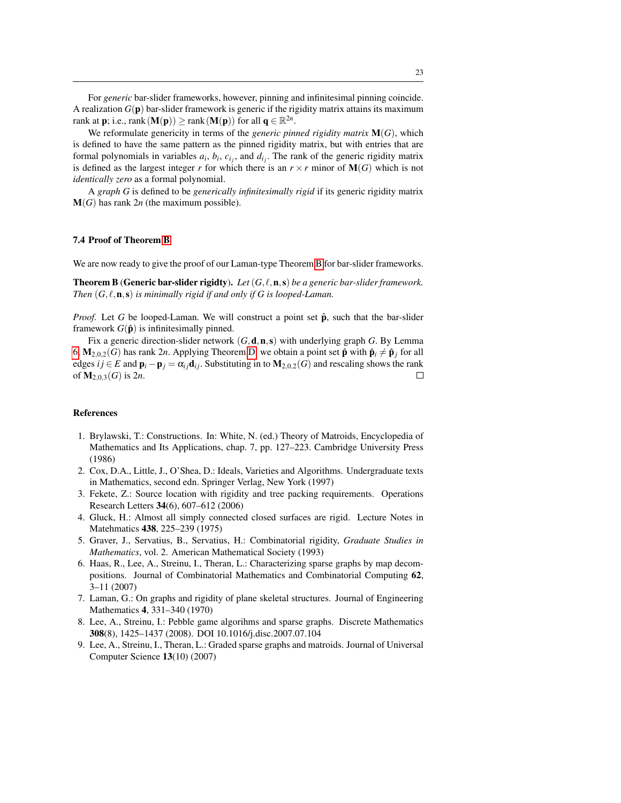For *generic* bar-slider frameworks, however, pinning and infinitesimal pinning coincide. A realization  $G(\mathbf{p})$  bar-slider framework is generic if the rigidity matrix attains its maximum rank at **p**; i.e., rank  $(M(p)) \ge$  rank  $(M(p))$  for all  $q \in \mathbb{R}^{2n}$ .

We reformulate genericity in terms of the *generic pinned rigidity matrix* M(*G*), which is defined to have the same pattern as the pinned rigidity matrix, but with entries that are formal polynomials in variables  $a_i$ ,  $b_i$ ,  $c_{i_j}$ , and  $d_{i_j}$ . The rank of the generic rigidity matrix is defined as the largest integer *r* for which there is an  $r \times r$  minor of  $M(G)$  which is not *identically zero* as a formal polynomial.

A *graph G* is defined to be *generically infinitesimally rigid* if its generic rigidity matrix M(*G*) has rank 2*n* (the maximum possible).

#### 7.4 Proof of Theorem [B](#page-2-1)

We are now ready to give the proof of our Laman-type Theorem [B](#page-2-1) for bar-slider frameworks.

**Theorem B** (Generic bar-slider rigidty). Let  $(G, \ell, n, s)$  be a generic bar-slider framework. *Then*  $(G, \ell, n, s)$  *is minimally rigid if and only if G is looped-Laman.* 

*Proof.* Let *G* be looped-Laman. We will construct a point set  $\hat{p}$ , such that the bar-slider framework  $G(\hat{\mathbf{p}})$  is infinitesimally pinned.

Fix a generic direction-slider network  $(G, \mathbf{d}, \mathbf{n}, \mathbf{s})$  with underlying graph *G*. By Lemma [6,](#page-11-2)  $M_{2,0,2}(G)$  has rank 2*n*. Applying Theorem [D,](#page-3-1) we obtain a point set  $\hat{\mathbf{p}}$  with  $\hat{\mathbf{p}}_i \neq \hat{\mathbf{p}}_j$  for all edges *i j* ∈ *E* and  $\mathbf{p}_i - \mathbf{p}_j = \alpha_{ij} \mathbf{d}_{ij}$ . Substituting in to  $\mathbf{M}_{2,0,2}(G)$  and rescaling shows the rank of M2,0,3(*G*) is 2*n*.  $\Box$ 

### References

- <span id="page-23-7"></span>1. Brylawski, T.: Constructions. In: White, N. (ed.) Theory of Matroids, Encyclopedia of Mathematics and Its Applications, chap. 7, pp. 127–223. Cambridge University Press (1986)
- <span id="page-23-5"></span>2. Cox, D.A., Little, J., O'Shea, D.: Ideals, Varieties and Algorithms. Undergraduate texts in Mathematics, second edn. Springer Verlag, New York (1997)
- <span id="page-23-0"></span>3. Fekete, Z.: Source location with rigidity and tree packing requirements. Operations Research Letters 34(6), 607–612 (2006)
- <span id="page-23-3"></span>4. Gluck, H.: Almost all simply connected closed surfaces are rigid. Lecture Notes in Matehmatics 438, 225–239 (1975)
- 5. Graver, J., Servatius, B., Servatius, H.: Combinatorial rigidity, *Graduate Studies in Mathematics*, vol. 2. American Mathematical Society (1993)
- <span id="page-23-6"></span>6. Haas, R., Lee, A., Streinu, I., Theran, L.: Characterizing sparse graphs by map decompositions. Journal of Combinatorial Mathematics and Combinatorial Computing 62, 3–11 (2007)
- <span id="page-23-2"></span>7. Laman, G.: On graphs and rigidity of plane skeletal structures. Journal of Engineering Mathematics 4, 331–340 (1970)
- <span id="page-23-1"></span>8. Lee, A., Streinu, I.: Pebble game algorihms and sparse graphs. Discrete Mathematics 308(8), 1425–1437 (2008). DOI 10.1016/j.disc.2007.07.104
- <span id="page-23-4"></span>9. Lee, A., Streinu, I., Theran, L.: Graded sparse graphs and matroids. Journal of Universal Computer Science 13(10) (2007)